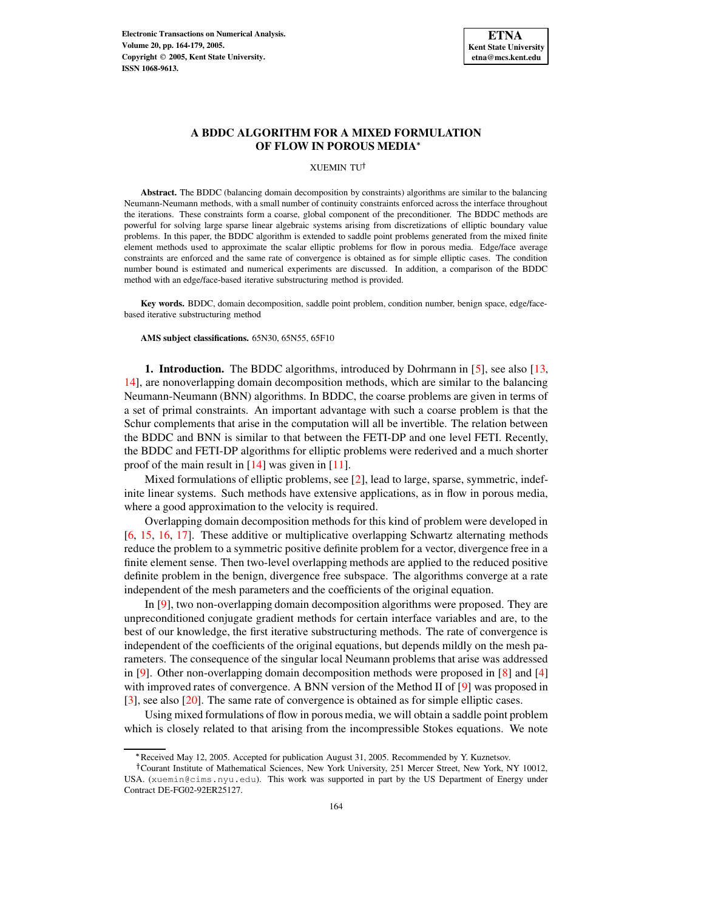

# **A BDDC ALGORITHM FOR A MIXED FORMULATION OF FLOW IN POROUS MEDIA**

XUEMIN TU

**Abstract.** The BDDC (balancing domain decomposition by constraints) algorithms are similar to the balancing Neumann-Neumann methods, with a small number of continuity constraints enforced across the interface throughout the iterations. These constraints form a coarse, global component of the preconditioner. The BDDC methods are powerful for solving large sparse linear algebraic systems arising from discretizations of elliptic boundary value problems. In this paper, the BDDC algorithm is extended to saddle point problems generated from the mixed finite element methods used to approximate the scalar elliptic problems for flow in porous media. Edge/face average constraints are enforced and the same rate of convergence is obtained as for simple elliptic cases. The condition number bound is estimated and numerical experiments are discussed. In addition, a comparison of the BDDC method with an edge/face-based iterative substructuring method is provided.

**Key words.** BDDC, domain decomposition, saddle point problem, condition number, benign space, edge/facebased iterative substructuring method

**AMS subject classifications.** 65N30, 65N55, 65F10

**1. Introduction.** The BDDC algorithms, introduced by Dohrmann in [\[5\]](#page-14-0), see also [\[13,](#page-15-0) [14\]](#page-15-1), are nonoverlapping domain decomposition methods, which are similar to the balancing Neumann-Neumann (BNN) algorithms. In BDDC, the coarse problems are given in terms of a set of primal constraints. An important advantage with such a coarse problem is that the Schur complements that arise in the computation will all be invertible. The relation between the BDDC and BNN is similar to that between the FETI-DP and one level FETI. Recently, the BDDC and FETI-DP algorithms for elliptic problems were rederived and a much shorter proof of the main result in  $[14]$  was given in  $[11]$ .

Mixed formulations of elliptic problems, see [\[2\]](#page-14-1), lead to large, sparse, symmetric, indefinite linear systems. Such methods have extensive applications, as in flow in porous media, where a good approximation to the velocity is required.

Overlapping domain decomposition methods for this kind of problem were developed in [\[6,](#page-15-3) [15,](#page-15-4) [16,](#page-15-5) [17\]](#page-15-6). These additive or multiplicative overlapping Schwartz alternating methods reduce the problem to a symmetric positive definite problem for a vector, divergence free in a finite element sense. Then two-level overlapping methods are applied to the reduced positive definite problem in the benign, divergence free subspace. The algorithms converge at a rate independent of the mesh parameters and the coefficients of the original equation.

In [\[9\]](#page-15-7), two non-overlapping domain decomposition algorithms were proposed. They are unpreconditioned conjugate gradient methods for certain interface variables and are, to the best of our knowledge, the first iterative substructuring methods. The rate of convergence is independent of the coefficients of the original equations, but depends mildly on the mesh parameters. The consequence of the singular local Neumann problems that arise was addressed in [\[9\]](#page-15-7). Other non-overlapping domain decomposition methods were proposed in [\[8\]](#page-15-8) and [\[4\]](#page-14-2) with improved rates of convergence. A BNN version of the Method II of [\[9\]](#page-15-7) was proposed in [\[3\]](#page-14-3), see also [\[20\]](#page-15-9). The same rate of convergence is obtained as for simple elliptic cases.

Using mixed formulations of flow in porous media, we will obtain a saddle point problem which is closely related to that arising from the incompressible Stokes equations. We note

<sup>-</sup> Received May 12, 2005. Accepted for publication August 31, 2005. Recommended by Y. Kuznetsov.

<sup>&</sup>lt;sup>†</sup>Courant Institute of Mathematical Sciences, New York University, 251 Mercer Street, New York, NY 10012, USA. (xuemin@cims.nyu.edu). This work was supported in part by the US Department of Energy under Contract DE-FG02-92ER25127.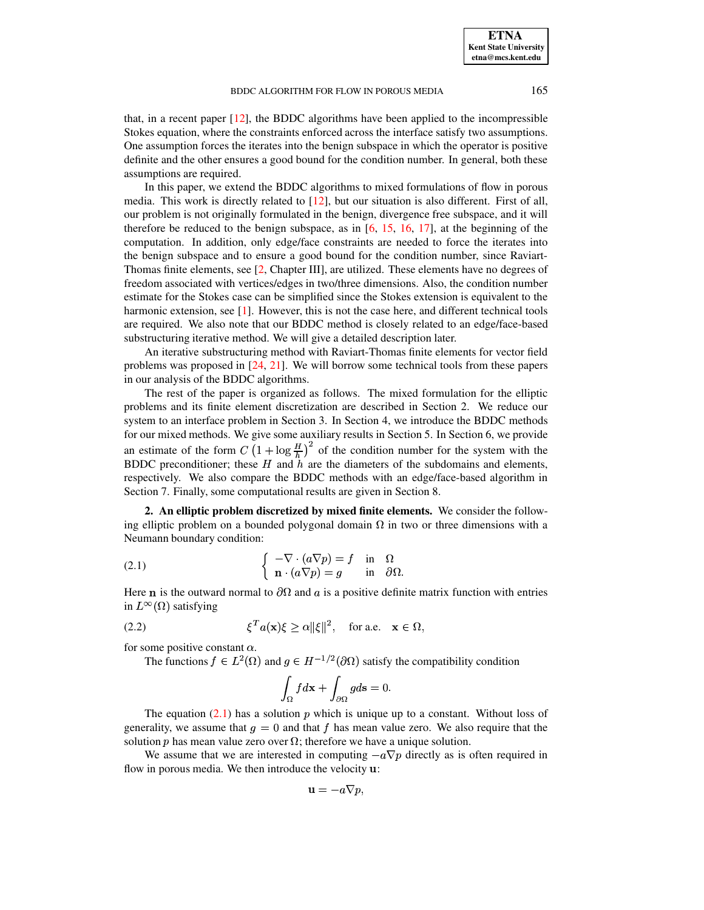that, in a recent paper  $[12]$ , the BDDC algorithms have been applied to the incompressible Stokes equation, where the constraints enforced across the interface satisfy two assumptions. One assumption forces the iterates into the benign subspace in which the operator is positive definite and the other ensures a good bound for the condition number. In general, both these assumptions are required.

In this paper, we extend the BDDC algorithms to mixed formulations of flow in porous media. This work is directly related to [\[12\]](#page-15-10), but our situation is also different. First of all, our problem is not originally formulated in the benign, divergence free subspace, and it will therefore be reduced to the benign subspace, as in  $[6, 15, 16, 17]$  $[6, 15, 16, 17]$  $[6, 15, 16, 17]$  $[6, 15, 16, 17]$  $[6, 15, 16, 17]$  $[6, 15, 16, 17]$  $[6, 15, 16, 17]$ , at the beginning of the computation. In addition, only edge/face constraints are needed to force the iterates into the benign subspace and to ensure a good bound for the condition number, since Raviart-Thomas finite elements, see [\[2,](#page-14-1) Chapter III], are utilized. These elements have no degrees of freedom associated with vertices/edges in two/three dimensions. Also, the condition number estimate for the Stokes case can be simplified since the Stokes extension is equivalent to the harmonic extension, see  $[1]$ . However, this is not the case here, and different technical tools are required. We also note that our BDDC method is closely related to an edge/face-based substructuring iterative method. We will give a detailed description later.

An iterative substructuring method with Raviart-Thomas finite elements for vector field problems was proposed in [\[24,](#page-15-11) [21\]](#page-15-12). We will borrow some technical tools from these papers in our analysis of the BDDC algorithms.

The rest of the paper is organized as follows. The mixed formulation for the elliptic problems and its finite element discretization are described in Section 2. We reduce our system to an interface problem in Section 3. In Section 4, we introduce the BDDC methods for our mixed methods. We give some auxiliary results in Section 5. In Section 6, we provide an estimate of the form  $C\left(1+\log\frac{H}{h}\right)^2$  of the condition number for the system with the BDDC preconditioner; these  $H$  and  $h$  are the diameters of the subdomains and elements, respectively. We also compare the BDDC methods with an edge/face-based algorithm in Section 7. Finally, some computational results are given in Section 8.

**2. An elliptic problem discretized by mixed finite elements.** We consider the following elliptic problem on a bounded polygonal domain  $\Omega$  in two or three dimensions with a Neumann boundary condition:

<span id="page-1-0"></span>(2.1) 
$$
\begin{cases} -\nabla \cdot (a\nabla p) = f & \text{in } \Omega \\ \mathbf{n} \cdot (a\nabla p) = g & \text{in } \partial \Omega. \end{cases}
$$

Here **n** is the outward normal to  $\partial\Omega$  and a is a positive definite matrix function with entries in  $L^{\infty}(\Omega)$  satisfying

(2.2) 
$$
\xi^T a(\mathbf{x}) \xi \ge \alpha ||\xi||^2, \text{ for a.e. } \mathbf{x} \in \Omega,
$$

for some positive constant  $\alpha$ .

The functions  $f \in L^2(\Omega)$  and  $g \in H^{-1/2}(\partial \Omega)$  satisfy the compatibility condition

$$
\int_{\Omega} f d\mathbf{x} + \int_{\partial \Omega} g d\mathbf{s} = 0.
$$

The equation [\(2.1\)](#page-1-0) has a solution  $p$  which is unique up to a constant. Without loss of generality, we assume that  $g = 0$  and that f has mean value zero. We also require that the solution p has mean value zero over  $\Omega$ ; therefore we have a unique solution.

We assume that we are interested in computing  $-a\nabla p$  directly as is often required in flow in porous media. We then introduce the velocity  $\mathbf{u}$ :

$$
\mathbf{u}=-a\nabla p,
$$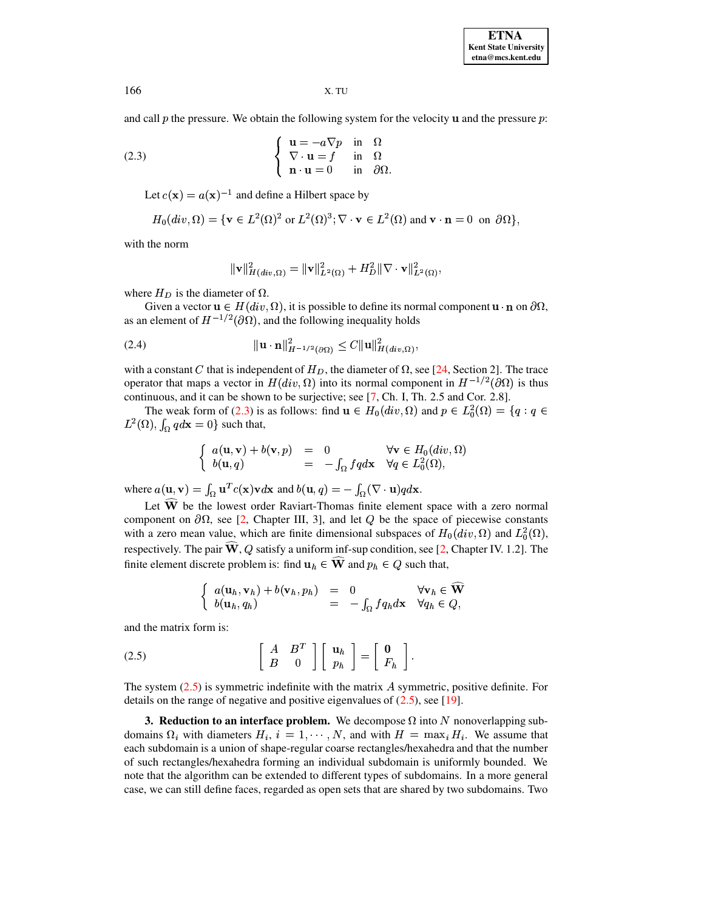<span id="page-2-0"></span>**ETNA Kent State University etna@mcs.kent.edu**

166 X. TU

and call  $p$  the pressure. We obtain the following system for the velocity  $\bf{u}$  and the pressure  $p$ :

(2.3) 
$$
\begin{cases} \mathbf{u} = -a\nabla p & \text{in } \Omega \\ \nabla \cdot \mathbf{u} = f & \text{in } \Omega \\ \mathbf{n} \cdot \mathbf{u} = 0 & \text{in } \partial \Omega. \end{cases}
$$

Let  $c(\mathbf{x}) = a(\mathbf{x})^{-1}$  and define a Hilbert space by

$$
H_0(\operatorname{div}, \Omega) = \{ \mathbf{v} \in L^2(\Omega)^2 \text{ or } L^2(\Omega)^3; \nabla \cdot \mathbf{v} \in L^2(\Omega) \text{ and } \mathbf{v} \cdot \mathbf{n} = 0 \text{ on } \partial \Omega \},
$$

with the norm

<span id="page-2-2"></span>
$$
\|\mathbf{v}\|_{H(div,\Omega)}^2 = \|\mathbf{v}\|_{L^2(\Omega)}^2 + H_D^2 \|\nabla \cdot \mathbf{v}\|_{L^2(\Omega)}^2,
$$

where  $H_D$  is the diameter of  $\Omega$ .

Given a vector  $\mathbf{u} \in H(div, \Omega)$ , it is possible to define its normal component  $\mathbf{u} \cdot \mathbf{n}$  on  $\partial \Omega$ , as an element of  $H^{-1/2}(\partial\Omega)$ , and the following inequality holds

(2.4) 
$$
\|\mathbf{u} \cdot \mathbf{n}\|_{H^{-1/2}(\partial \Omega)}^2 \leq C \|\mathbf{u}\|_{H(div,\Omega)}^2,
$$

with a constant C that is independent of  $H_D$ , the diameter of  $\Omega$ , see [\[24,](#page-15-11) Section 2]. The trace operator that maps a vector in  $H(div, \Omega)$  into its normal component in  $H^{-1/2}(\partial \Omega)$  is thus  $\epsilon_{\text{S}}$  continuous, and it can be shown to be surjective; see [\[7,](#page-15-13) Ch. I, Th. 2.5 and Cor. 2.8].

The weak form of [\(2.3\)](#page-2-0) is as follows: find  $\mathbf{u} \in H_0(\text{div}, \Omega)$  and  $p \in L_0^2(\Omega) = \{q : q \in \Omega\}$ The weak form of (2.3) is<br>  $L^2(\Omega)$ ,  $\int_{\Omega} q d\mathbf{x} = 0$ } such that,

$$
\begin{cases}\n a(\mathbf{u}, \mathbf{v}) + b(\mathbf{v}, p) &= 0 & \forall \mathbf{v} \in H_0(\text{div}, \Omega) \\
 b(\mathbf{u}, q) &= -\int_{\Omega} f q d\mathbf{x} & \forall q \in L_0^2(\Omega),\n\end{cases}
$$

where  $a(\mathbf{u}, \mathbf{v}) = \int_{\Omega} \mathbf{u}^T c(\mathbf{x}) \mathbf{v} d\mathbf{x}$  and  $b(\mathbf{u}, q) = -\int_{\Omega} (\nabla \cdot \mathbf{u}) q d\mathbf{x}$ .

Let  $\widehat{W}$  be the lowest order Raviart-Thomas finite element space with a zero normal component on  $\partial\Omega$ , see [\[2,](#page-14-1) Chapter III, 3], and let Q be the space of piecewise constants with a zero mean value, which are finite dimensional subspaces of  $H_0(\text{div}, \Omega)$  and  $L_0^2(\Omega)$ , respectively. The pair  $\widehat{\mathbf{W}}, Q$  satisfy a uniform inf-sup condition, see [\[2,](#page-14-1) Chapter IV. 1.2]. The finite element discrete problem is: find  $u_h \in W$  and  $p_h \in Q$  such that,

$$
\begin{cases}\n a(\mathbf{u}_h, \mathbf{v}_h) + b(\mathbf{v}_h, p_h) &= 0 & \forall \mathbf{v}_h \in \widehat{\mathbf{W}} \\
 b(\mathbf{u}_h, q_h) &= -\int_{\Omega} f q_h d\mathbf{x} & \forall q_h \in Q,\n\end{cases}
$$

<span id="page-2-1"></span>and the matrix form is:

$$
(2.5) \qquad \qquad \begin{bmatrix} A & B^T \\ B & 0 \end{bmatrix} \begin{bmatrix} \mathbf{u}_h \\ p_h \end{bmatrix} = \begin{bmatrix} \mathbf{0} \\ F_h \end{bmatrix}.
$$

The system  $(2.5)$  is symmetric indefinite with the matrix A symmetric, positive definite. For details on the range of negative and positive eigenvalues of  $(2.5)$ , see [\[19\]](#page-15-14).

**3. Reduction to an interface problem.** We decompose  $\Omega$  into N nonoverlapping subdomains  $\Omega_i$  with diameters  $H_i$ ,  $i = 1, \dots, N$ , and with  $H = \max_i H_i$ . We assume that each subdomain is a union of shape-regular coarse rectangles/hexahedra and that the number s such a series of the series of the series of the series of the series of the series of the series of the series of such rectangles/hexahedra forming an individual subdomain is uniformly bounded. We note that the algorithm can be extended to different types of subdomains. In a more general case, we can still define faces, regarded as open sets that are shared by two subdomains. Two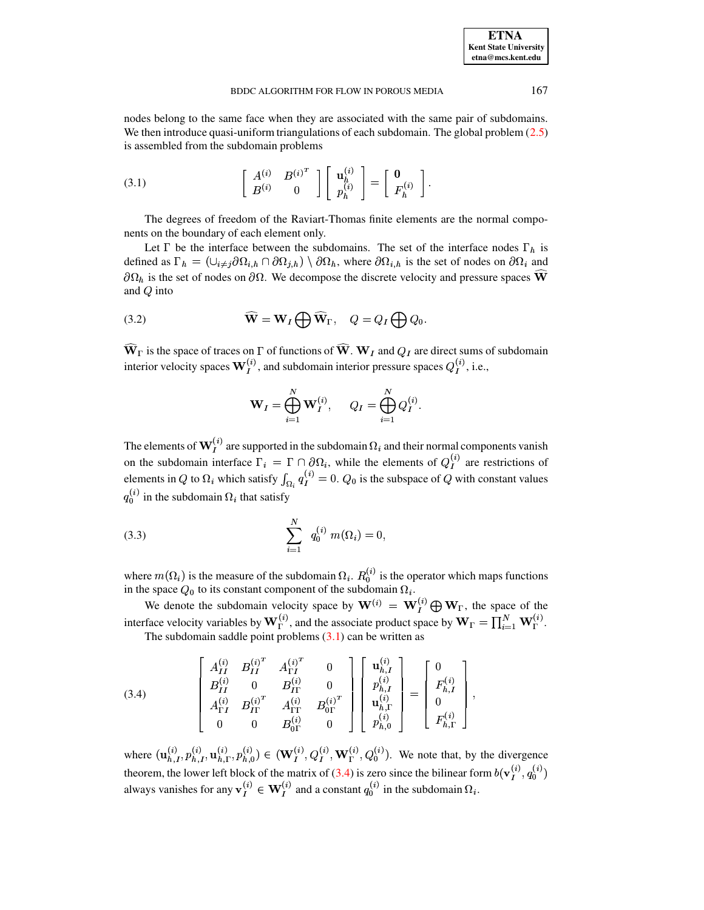<span id="page-3-0"></span>nodes belong to the same face when they are associated with the same pair of subdomains. We then introduce quasi-uniform triangulations of each subdomain. The global problem [\(2.5\)](#page-2-1) is assembled from the subdomain problems

$$
(3.1) \qquad \qquad \begin{bmatrix} A^{(i)} & B^{(i)^T} \\ B^{(i)} & 0 \end{bmatrix} \begin{bmatrix} \mathbf{u}_h^{(i)} \\ p_h^{(i)} \end{bmatrix} = \begin{bmatrix} \mathbf{0} \\ F_h^{(i)} \end{bmatrix}.
$$

The degrees of freedom of the Raviart-Thomas finite elements are the normal components on the boundary of each element only.

Let  $\Gamma$  be the interface between the subdomains. The set of the interface nodes  $\Gamma_h$  is defined as  $\Gamma_h = (\cup_{i \neq j} \partial \Omega_{i,h} \cap \partial \Omega_{j,h}) \setminus \partial \Omega_h$ , where  $\partial \Omega_{i,h}$  is the set of nodes on  $\partial \Omega_i$  and  $\partial\Omega_h$  is the set of nodes on  $\partial\Omega$ . We decompose the discrete velocity and pressure spaces W and  $Q$  into

(3.2) 
$$
\widehat{\mathbf{W}} = \mathbf{W}_I \bigoplus \widehat{\mathbf{W}}_{\Gamma}, \quad Q = Q_I \bigoplus Q_0.
$$

 $W_{\Gamma}$  is the space of traces on  $\Gamma$  of functions of  $W$ .  $W_I$  and  $Q_I$  are direct sums of subdomain interior velocity spaces  $\mathbf{W}_{I}^{(i)}$ , and subdomain interior pressure spaces  $Q_{I}^{(i)}$ , i.e.,

$$
\mathbf{W}_I = \bigoplus_{i=1}^N \mathbf{W}_I^{(i)}, \quad Q_I = \bigoplus_{i=1}^N Q_I^{(i)}.
$$

The elements of  $\mathbf{W}_{l}^{(i)}$  are supported in the subdomain  $\Omega_{i}$  and their normal components vanish on the subdomain interface  $\Gamma_i = \Gamma \cap \partial \Omega_i$ , while the elements of  $Q_I^{(i)}$  are restrictions of elements in Q to  $\Omega_i$  which satisfy  $\int_{\Omega_i} q_I^{(i)} = 0$ .  $Q_0$  is the subspace of Q with constant values  $\Omega_i^{(i)}$  in the subdomain  $\Omega_i$  that satisfy

(3.3) 
$$
\sum_{i=1}^{N} q_0^{(i)} m(\Omega_i) = 0,
$$

where  $m(\Omega_i)$  is the measure of the subdomain  $\Omega_i$ .  $R_0^{(i)}$  is the operator which maps functions in the space  $Q_0$  to its constant component of the subdomain  $\Omega_i$ .

We denote the subdomain velocity space by  $\mathbf{W}^{(i)} = \mathbf{W}_I^{(i)} \oplus \mathbf{W}_I$ , the space of the interface velocity variables by  $W_{\Gamma}^{(i)}$ , and the associate product space by  $W_{\Gamma} = \prod_{i=1}^{N} W_{\Gamma}^{(i)}$ . The subdomain saddle point problems  $(3.1)$  can be written as

<span id="page-3-1"></span>(3.4) 
$$
\begin{bmatrix} A_{II}^{(i)} & B_{II}^{(i)^{T}} & A_{\Gamma I}^{(i)^{T}} & 0 \\ B_{II}^{(i)} & 0 & B_{IT}^{(i)} & 0 \\ A_{\Gamma I}^{(i)} & B_{IT}^{(i)^{T}} & A_{\Gamma I}^{(i)} & B_{0\Gamma}^{(i)^{T}} \\ 0 & 0 & B_{0\Gamma}^{(i)} & 0 \end{bmatrix} \begin{bmatrix} \mathbf{u}_{h,I}^{(i)} \\ p_{h,I}^{(i)} \\ \mathbf{u}_{h,\Gamma}^{(i)} \\ \mathbf{u}_{h,\Gamma}^{(i)} \end{bmatrix} = \begin{bmatrix} 0 \\ F_{h,I}^{(i)} \\ 0 \\ F_{h,\Gamma}^{(i)} \end{bmatrix},
$$

where  $(\mathbf{u}_{h,I}^{(i)}, p_{h,I}^{(i)}, \mathbf{u}_{h,\Gamma}^{(i)}, p_{h,0}^{(i)}) \in (\mathbf{W}_I^{(i)}, Q_I^{(i)}, \mathbf{W}_\Gamma^{(i)}, Q_0^{(i)})$ . We note that, by the divergence theorem, the lower left block of the matrix of [\(3.4\)](#page-3-1) is zero since the bilinear form  $b(\mathbf{v}_I^{(i)}, q_0^{(i)})$ always vanishes for any  $\mathbf{v}_I^{(i)} \in \mathbf{W}_I^{(i)}$  and a constant  $q_0^{(i)}$  in the subdomain  $\Omega_i$ . <sup>x</sup> <sup>x</sup> <sup>x</sup>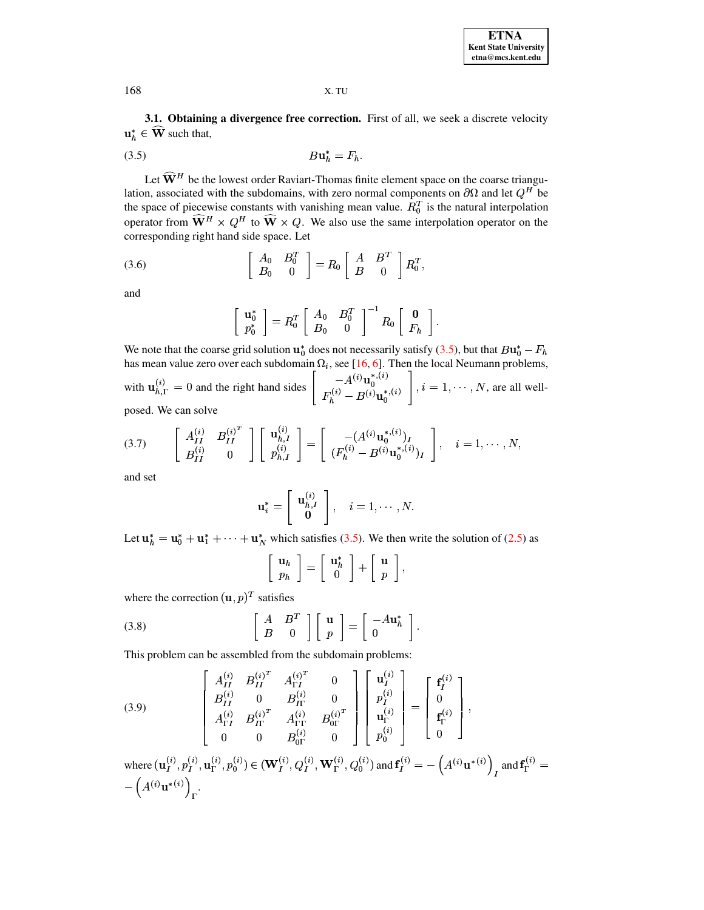<span id="page-4-0"></span>3.1. Obtaining a divergence free correction. First of all, we seek a discrete velocity  $\mathbf{u}_h^* \in \widehat{\mathbf{W}}$  such that,

$$
(3.5) \t\t\t Bu_h^* = F_h
$$

Let  $\widehat{\mathbf{W}}^{H}$  be the lowest order Raviart-Thomas finite element space on the coarse triangulation, associated with the subdomains, with zero normal components on  $\partial\Omega$  and let  $Q^H$  be the space of piecewise constants with vanishing mean value.  $R_0^T$  is the natural interpolation operator from  $\widehat{\mathbf{W}}^{H} \times Q^{H}$  to  $\widehat{\mathbf{W}} \times Q$ . We also use the same interpolation operator on the corresponding right hand side space. Let

$$
\begin{bmatrix}\nA_0 & B_0^T \\
B_0 & 0\n\end{bmatrix} = R_0 \begin{bmatrix}\nA & B^T \\
B & 0\n\end{bmatrix} R_0^T,
$$

and

$$
\left[\begin{array}{c}\n\mathbf{u}_0^* \\
p_0^*\n\end{array}\right] = R_0^T \left[\begin{array}{cc} A_0 & B_0^T \\
B_0 & 0\n\end{array}\right]^{-1} R_0 \left[\begin{array}{c} \mathbf{0} \\
F_h \end{array}\right].
$$

We note that the coarse grid solution  $\mathbf{u}_0^*$  does not necessarily satisfy (3.5), but that  $B\mathbf{u}_0^* - F_h$ has mean value zero over each subdomain  $\Omega_i$ , see [16, 6]. Then the local Neumann problems, with  $\mathbf{u}_{h,\Gamma}^{(i)} = 0$  and the right hand sides  $\begin{bmatrix} -A^{(i)}\mathbf{u}_0^{*,(i)} \\ F_h^{(i)} - B^{(i)}\mathbf{u}_0^{*,(i)} \end{bmatrix}$ ,  $i = 1, \cdots, N$ , are all well-

$$
(3.7) \qquad \begin{bmatrix} A_{II}^{(i)} & B_{II}^{(i)^T} \\ B_{II}^{(i)} & 0 \end{bmatrix} \begin{bmatrix} \mathbf{u}_{h,I}^{(i)} \\ p_{h,I}^{(i)} \end{bmatrix} = \begin{bmatrix} -(A^{(i)}\mathbf{u}_0^{*,(i)})_I \\ (F_h^{(i)} - B^{(i)}\mathbf{u}_0^{*,(i)})_I \end{bmatrix}, \quad i = 1, \cdots, N,
$$

and set

$$
\mathbf{u}_i^* = \left[\begin{array}{c} \mathbf{u}_{h,I}^{(i)} \\ \mathbf{0} \end{array}\right], \quad i = 1, \cdots, N.
$$

Let  $u_h^* = u_0^* + u_1^* + \cdots + u_N^*$  which satisfies (3.5). We then write the solution of (2.5) as

<span id="page-4-2"></span><span id="page-4-1"></span>
$$
\left[\begin{array}{c}\mathbf{u}_h\\p_h\end{array}\right]=\left[\begin{array}{c}\mathbf{u}_h^*\\\0\end{array}\right]+\left[\begin{array}{c}\mathbf{u}\\p\end{array}\right],
$$

where the correction  $(\mathbf{u}, p)^T$  satisfies

(3.8) 
$$
\begin{bmatrix} A & B^T \ B & 0 \end{bmatrix} \begin{bmatrix} \mathbf{u} \\ p \end{bmatrix} = \begin{bmatrix} -A\mathbf{u}_h^* \\ 0 \end{bmatrix}.
$$

This problem can be assembled from the subdomain problems:

(3.9)  
\n
$$
\begin{bmatrix}\nA_{II}^{(i)} & B_{II}^{(i)^{T}} & A_{\Gamma I}^{(i)^{T}} & 0 \\
B_{II}^{(i)} & 0 & B_{II}^{(i)} & 0 \\
A_{\Gamma I}^{(i)} & B_{II}^{(i)^{T}} & A_{\Gamma \Gamma}^{(i)} & B_{0\Gamma}^{(i)^{T}} \\
0 & 0 & B_{0\Gamma}^{(i)} & 0\n\end{bmatrix}\n\begin{bmatrix}\n\mathbf{u}_{I}^{(i)} \\
p_{I}^{(i)} \\
\mathbf{u}_{\Gamma}^{(i)} \\
p_{0}^{(i)}\n\end{bmatrix} = \n\begin{bmatrix}\n\mathbf{f}_{I}^{(i)} \\
0 \\
\mathbf{f}_{\Gamma}^{(i)} \\
0\n\end{bmatrix},
$$
\nwhere\n
$$
(\mathbf{u}_{I}^{(i)}, p_{I}^{(i)}, \mathbf{u}_{\Gamma}^{(i)}, p_{0}^{(i)}) \in (\mathbf{W}_{I}^{(i)}, Q_{I}^{(i)}, \mathbf{W}_{\Gamma}^{(i)}, Q_{0}^{(i)}) \text{ and } \mathbf{f}_{I}^{(i)} = -(\mathbf{A}^{(i)} \mathbf{u}^{*(i)})_{I} \text{ and } \mathbf{f}_{\Gamma}^{(i)} = -(\mathbf{A}^{(i)} \mathbf{u}^{*(i)})_{\Gamma}.
$$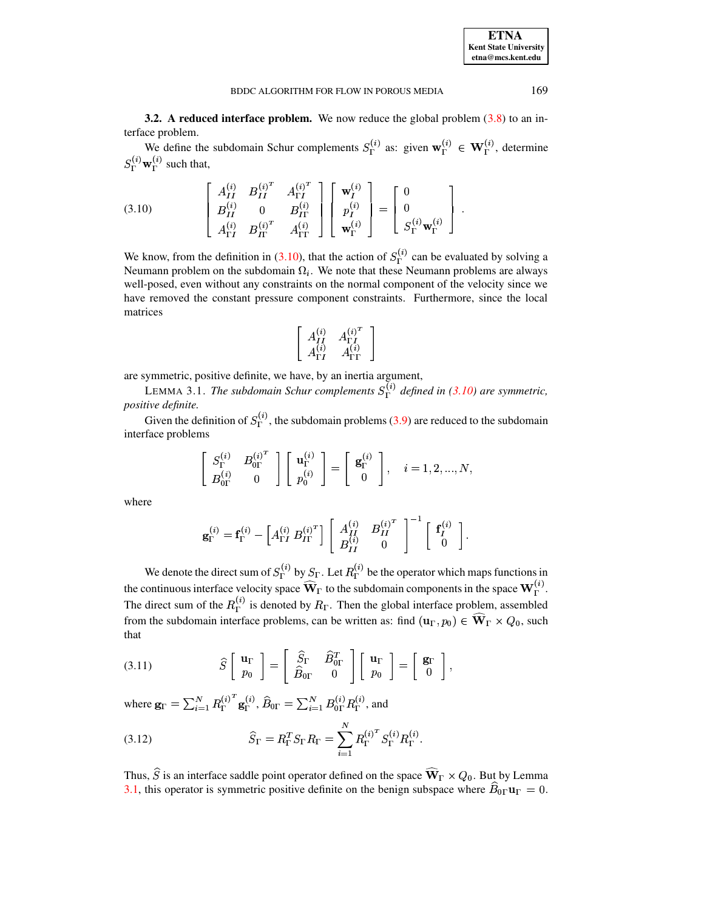**ETNA Kent State University** etna@mcs.kent.edu

**3.2.** A reduced interface problem. We now reduce the global problem  $(3.8)$  to an interface problem.

<span id="page-5-0"></span>We define the subdomain Schur complements  $S_{\Gamma}^{(i)}$  as: given  $\mathbf{w}_{\Gamma}^{(i)} \in \mathbf{W}_{\Gamma}^{(i)}$ , determine  $S_{\Gamma}^{(i)} \mathbf{w}_{\Gamma}^{(i)}$  such that,

(3.10) 
$$
\begin{bmatrix} A_{II}^{(i)} & B_{II}^{(i)^{T}} & A_{\Gamma I}^{(i)^{T}} \\ B_{II}^{(i)} & 0 & B_{II}^{(i)} \\ A_{\Gamma I}^{(i)} & B_{II}^{(i)^{T}} & A_{\Gamma I}^{(i)} \end{bmatrix} \begin{bmatrix} \mathbf{w}_{I}^{(i)} \\ p_{I}^{(i)} \\ \mathbf{w}_{\Gamma}^{(i)} \end{bmatrix} = \begin{bmatrix} 0 \\ 0 \\ S_{\Gamma}^{(i)} \mathbf{w}_{\Gamma}^{(i)} \end{bmatrix}.
$$

We know, from the definition in (3.10), that the action of  $S_{\Gamma}^{(i)}$  can be evaluated by solving a Neumann problem on the subdomain  $\Omega_i$ . We note that these Neumann problems are always well-posed, even without any constraints on the normal component of the velocity since we have removed the constant pressure component constraints. Furthermore, since the local matrices

<span id="page-5-1"></span>
$$
\left[ \begin{array}{cc} A_{II}^{(i)} & A_{\Gamma I}^{(i)^T} \\ A_{\Gamma I}^{(i)} & A_{\Gamma \Gamma}^{(i)} \end{array} \right]
$$

are symmetric, positive definite, we have, by an inertia argument,

LEMMA 3.1. The subdomain Schur complements  $S_{\Gamma}^{(i)}$  defined in (3.10) are symmetric, positive definite.

Given the definition of  $S_{\Gamma}^{(i)}$ , the subdomain problems (3.9) are reduced to the subdomain interface problems

$$
\left[\begin{array}{cc} S_{\Gamma}^{(i)} & B_{0\Gamma}^{(i)^{T}} \\ B_{0\Gamma}^{(i)} & 0 \end{array}\right] \left[\begin{array}{c} \mathbf{u}_{\Gamma}^{(i)} \\ p_{0}^{(i)} \end{array}\right] = \left[\begin{array}{c} \mathbf{g}_{\Gamma}^{(i)} \\ 0 \end{array}\right], \quad i = 1, 2, ..., N,
$$

where

$$
\mathbf{g}_{\Gamma}^{(i)} = \mathbf{f}_{\Gamma}^{(i)} - \left[A_{\Gamma I}^{(i)} B_{I \Gamma}^{(i)^{T}}\right] \left[\begin{array}{cc} A_{II}^{(i)} & B_{II}^{(i)^{T}} \\ B_{II}^{(i)} & 0 \end{array}\right]^{-1} \left[\begin{array}{c} \mathbf{f}_{I}^{(i)} \\ 0 \end{array}\right]
$$

We denote the direct sum of  $S_{\Gamma}^{(i)}$  by  $S_{\Gamma}$ . Let  $R_{\Gamma}^{(i)}$  be the operator which maps functions in the continuous interface velocity space  $\widehat{\mathbf{W}}_{\Gamma}$  to the subdomain components in the space  $\mathbf{W}_{\Gamma}^{(i)}$ . The direct sum of the  $R_{\Gamma}^{(i)}$  is denoted by  $R_{\Gamma}$ . Then the global interface problem, assembled from the subdomain interface problems, can be written as: find  $(\mathbf{u}_{\Gamma}, p_0) \in \widehat{\mathbf{W}}_{\Gamma} \times Q_0$ , such that

<span id="page-5-2"></span>(3.11) 
$$
\widehat{S} \begin{bmatrix} \mathbf{u}_{\Gamma} \\ p_0 \end{bmatrix} = \begin{bmatrix} \widehat{S}_{\Gamma} & \widehat{B}_{0\Gamma}^T \\ \widehat{B}_{0\Gamma} & 0 \end{bmatrix} \begin{bmatrix} \mathbf{u}_{\Gamma} \\ p_0 \end{bmatrix} = \begin{bmatrix} \mathbf{g}_{\Gamma} \\ 0 \end{bmatrix},
$$

where  $\mathbf{g}_{\Gamma} = \sum_{i=1}^{N} R_{\Gamma}^{(i)^{T}} \mathbf{g}_{\Gamma}^{(i)}$ ,  $\widehat{B}_{0\Gamma} = \sum_{i=1}^{N} B_{0\Gamma}^{(i)} R_{\Gamma}^{(i)}$ , and

<span id="page-5-3"></span>(3.12) 
$$
\widehat{S}_{\Gamma} = R_{\Gamma}^T S_{\Gamma} R_{\Gamma} = \sum_{i=1}^N R_{\Gamma}^{(i)^T} S_{\Gamma}^{(i)} R_{\Gamma}^{(i)}.
$$

Thus,  $\hat{S}$  is an interface saddle point operator defined on the space  $\widehat{\mathbf{W}}_{\Gamma} \times Q_0$ . But by Lemma 3.1, this operator is symmetric positive definite on the benign subspace where  $\hat{B}_{0\Gamma}\mathbf{u}_{\Gamma} = 0$ .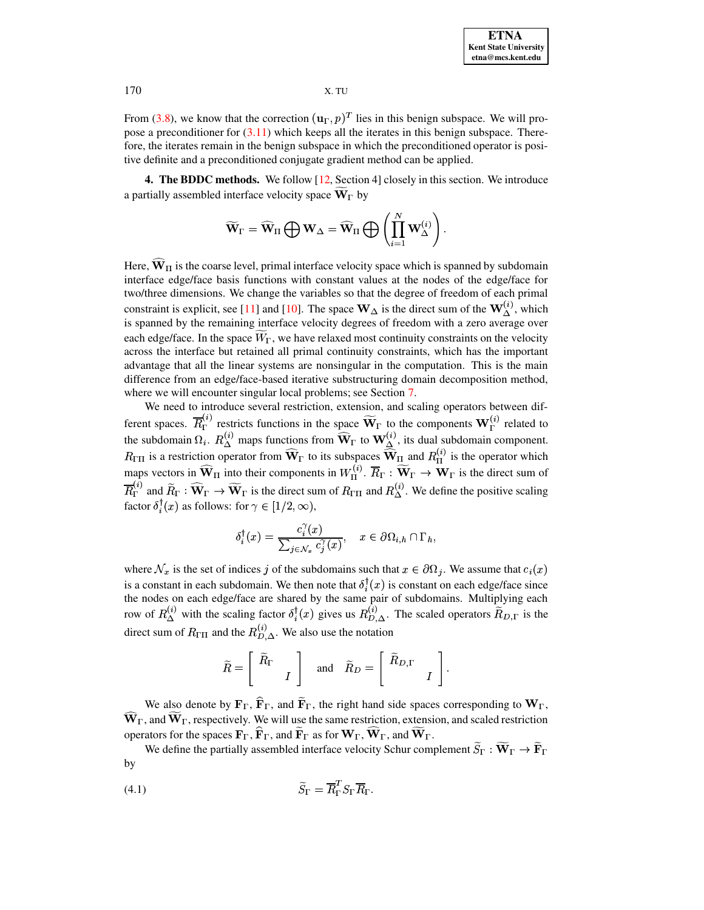From [\(3.8\)](#page-4-1), we know that the correction  $(\mathbf{u}_{\Gamma}, p)^{T}$  lies in  $(g, p)^T$  lies in this benign subspace. We will propose a preconditioner for [\(3.11\)](#page-5-2) which keeps all the iterates in this benign subspace. Therefore, the iterates remain in the benign subspace in which the preconditioned operator is positive definite and a preconditioned conjugate gradient method can be applied.

**4. The BDDC methods.** We follow [\[12,](#page-15-10) Section 4] closely in this section. We introduce a partially assembled interface velocity space  $\mathbf{W}_{\Gamma}$  by

$$
\widetilde{\mathbf{W}}_\Gamma = \widehat{\mathbf{W}}_\Pi \bigoplus \mathbf{W}_\Delta = \widehat{\mathbf{W}}_\Pi \bigoplus \left( \prod_{i=1}^N \mathbf{W}_\Delta^{(i)} \right).
$$

Here,  $W_{II}$  is the coarse level, primal interface velocity space which is spanned by subdomain interface edge/face basis functions with constant values at the nodes of the edge/face for <sup>x</sup> two/three dimensions. We change the variables so that the degree of freedom of each primal constraint is explicit, see [\[11\]](#page-15-2) and [\[10\]](#page-15-15). The space  $W_{\Delta}$  is the direct sum of the  $W_{\Delta}^{(i)}$ , which is spanned by the remaining interface velocity degrees of freedom with a zero average over each edge/face. In the space  $W_{\Gamma}$ , we have relaxed most continuity constraints on the velocity across the interface but retained all primal continuity constraints, which has the important advantage that all the linear systems are nonsingular in the computation. This is the main difference from an edge/face-based iterative substructuring domain decomposition method, where we will encounter singular local problems; see Section [7.](#page-13-0)

We need to introduce several restriction, extension, and scaling operators between different spaces.  $R_{\Gamma}^{(k)}$  restricts functions in the space  $W_{\Gamma}$  to the components  $W_{\Gamma}^{(k)}$  related to the subdomain  $\Omega_i$ .  $R_{\lambda}^{(i)}$  maps functions from  $\mathbf{W}_{\Gamma}$  to  $\mathbf{W}_{\lambda}^{(i)}$ , its dual subdomain component.  $R_{\Gamma\Pi}$  is a restriction operator from  $W_{\Gamma}$  to its subspaces  $W_{\Pi}$  and  $R_{\Pi}^{(i)}$  is the operator which maps vectors in  $W_{\Pi}$  into their components in  $W_{\Pi}^{(v)}$ .  $R_{\Gamma}: W_{\Gamma} \to W_{\Gamma}$  is the direct sum of  $R_{\Gamma}^{(i)}$  and  $R_{\Gamma} : W_{\Gamma} \to W_{\Gamma}$  is the direct sum of  $R_{\Gamma\Pi}$  and  $R_{\Delta}^{(i)}$ . We define the positive scaling factor  $\delta_i^{\dagger}(x)$  as follows: for  $\gamma \in [1/2, \infty)$ ,

$$
\delta_i^{\dagger}(x) = \frac{c_i^{\gamma}(x)}{\sum_{j \in \mathcal{N}_x} c_j^{\gamma}(x)}, \quad x \in \partial \Omega_{i,h} \cap \Gamma_h,
$$

where  $\mathcal{N}_x$  is the set of indices j of the subdomains such that  $x \in \partial \Omega_j$ . We assume that  $c_i(x)$ is a constant in each subdomain. We then note that  $\delta_i^{\dagger}(x)$  is constant on each edge/face since the nodes on each edge/face are shared by the same pair of subdomains. Multiplying each row of  $R_{\Delta}^{(i)}$  with the scaling factor  $\delta_i^{\dagger}(x)$  gives us  $R_{D,\Delta}^{(i)}$ . The scaled operators  $R_{D,\Gamma}$  is the direct sum of  $R_{\Pi}$  and the  $R_{D,\Delta}^{(i)}$ . We also use the notation

$$
\widetilde{R} = \begin{bmatrix} \widetilde{R}_{\Gamma} \\ I \end{bmatrix}
$$
 and  $\widetilde{R}_{D} = \begin{bmatrix} \widetilde{R}_{D,\Gamma} \\ I \end{bmatrix}$ .

We also denote by  $\mathbf{F}_{\Gamma}$ ,  $\mathbf{F}_{\Gamma}$ , and  $\mathbf{F}_{\Gamma}$ , the right hand side spaces corresponding to  $\mathbf{W}_{\Gamma}$ ,  $\hat{\mathbf{W}}_{\Gamma}$ , and  $\hat{\mathbf{W}}_{\Gamma}$ , respectively. We will use the same restriction, extension, and scaled restriction operators for the spaces  ${\bf F}_{\Gamma}$ ,  ${\bf F}_{\Gamma}$ , and  ${\bf F}_{\Gamma}$  as for  ${\bf W}_{\Gamma}$ ,  ${\bf W}_{\Gamma}$ , and  ${\bf W}_{\Gamma}$ .

<span id="page-6-0"></span>We define the partially assembled interface velocity Schur complement  $S_{\Gamma}: \mathbf{W}_{\Gamma} \to \mathbf{F}_{\Gamma}$ by

$$
\widetilde{S}_{\Gamma} = \overline{R}_{\Gamma}^T S_{\Gamma} \overline{R}_{\Gamma}.
$$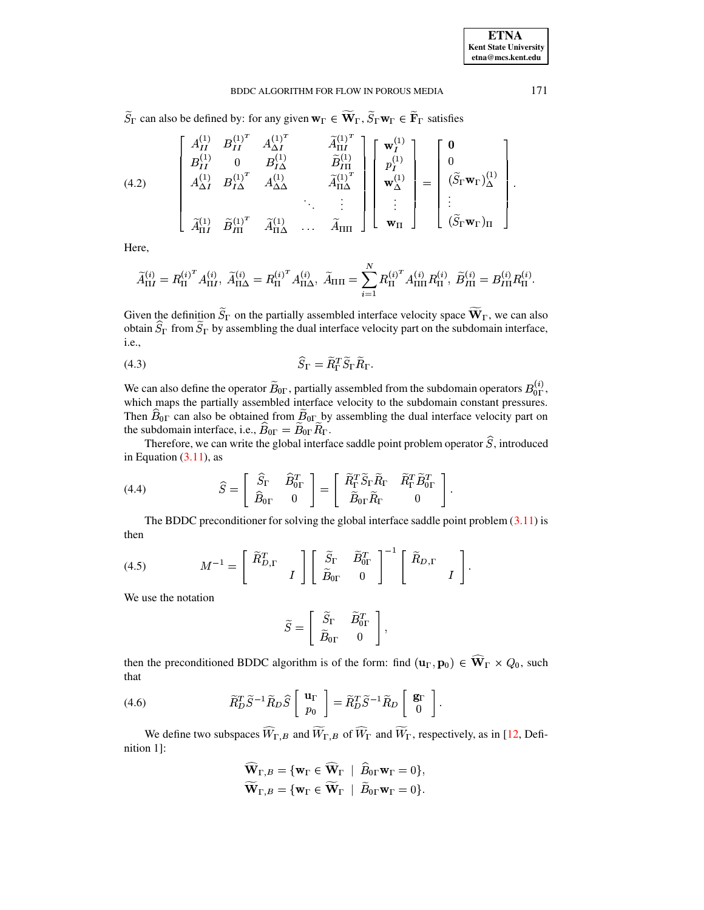$\widetilde{S}_{\Gamma}$  can also be defined by: for any given  $\mathbf{w}_{\Gamma} \in \widetilde{\mathbf{W}}_{\Gamma}, \widetilde{S}_{\Gamma} \mathbf{w}_{\Gamma} \in \widetilde{\mathbf{F}}_{\Gamma}$  satisfies

(4.2) 
$$
\begin{bmatrix}\nA_{II}^{(1)} & B_{II}^{(1)^{T}} & A_{\Delta I}^{(1)^{T}} & \tilde{A}_{\Pi I}^{(1)^{T}} \\
B_{II}^{(1)} & 0 & B_{I\Delta}^{(1)} & \tilde{B}_{I\Pi}^{(1)} \\
A_{\Delta I}^{(1)} & B_{I\Delta}^{(1)^{T}} & A_{\Delta\Delta}^{(1)} & \tilde{A}_{\Pi\Delta}^{(1)^{T}} \\
\vdots & \vdots & \ddots & \vdots \\
\tilde{A}_{\Pi I}^{(1)} & \tilde{B}_{II}^{(1)^{T}} & \tilde{A}_{\Pi\Delta}^{(1)} & \cdots & \tilde{A}_{\Pi\Pi}\n\end{bmatrix}\n\begin{bmatrix}\n\mathbf{w}_{I}^{(1)} \\
p_{I}^{(1)} \\
\mathbf{w}_{\Delta}^{(1)} \\
\vdots \\
\mathbf{w}_{\Pi}\n\end{bmatrix} = \n\begin{bmatrix}\n\mathbf{0} \\
0 \\
(\tilde{S}_{\Gamma}\mathbf{w}_{\Gamma})_{\Delta}^{(1)} \\
(\tilde{S}_{\Gamma}\mathbf{w}_{\Gamma})_{\Delta}^{(1)} \\
\vdots \\
(\tilde{S}_{\Gamma}\mathbf{w}_{\Gamma})_{\Pi}\n\end{bmatrix}
$$

Here,

$$
\widetilde{A}_{\Pi I}^{(i)} = R_{\Pi}^{(i)^T} A_{\Pi I}^{(i)}, \ \widetilde{A}_{\Pi \Delta}^{(i)} = R_{\Pi}^{(i)^T} A_{\Pi \Delta}^{(i)}, \ \widetilde{A}_{\Pi \Pi} = \sum_{i=1}^N R_{\Pi}^{(i)^T} A_{\Pi \Pi}^{(i)} R_{\Pi}^{(i)}, \ \widetilde{B}_{I \Pi}^{(i)} = B_{I \Pi}^{(i)} R_{\Pi}^{(i)}.
$$

Given the definition  $\widetilde{S}_{\Gamma}$  on the partially assembled interface velocity space  $\widetilde{\mathbf{W}}_{\Gamma}$ , we can also obtain  $\widetilde{S}_{\Gamma}$  from  $\widetilde{S}_{\Gamma}$  by assembling the dual interface velocity part on the subdomain int *i.e.*,

$$
\widehat{S}_{\Gamma} = \widetilde{R}_{\Gamma}^T \widetilde{S}_{\Gamma} \widetilde{R}_{\Gamma}
$$

We can also define the operator  $\widetilde{B}_{0\Gamma}$ , partially assembled from the subdomain operators  $B_{0\Gamma}^{(i)}$ , which maps the partially assembled interface velocity to the subdomain constant pressures. Then  $\hat{B}_{0\Gamma}$  can also be obtained from  $\hat{B}_{0\Gamma}$  by assembling the dual interface velocity part on the subdomain interface, i.e.,  $\widehat{B}_{0\Gamma} = \widetilde{B}_{0\Gamma} \widetilde{R}_{\Gamma}$ .

Therefore, we can write the global interface saddle point problem operator  $\hat{S}$ , introduced in Equation  $(3.11)$ , as

(4.4) 
$$
\widehat{S} = \begin{bmatrix} \widehat{S}_{\Gamma} & \widehat{B}_{0\Gamma}^T \\ \widehat{B}_{0\Gamma} & 0 \end{bmatrix} = \begin{bmatrix} \widetilde{R}_{\Gamma}^T \widetilde{S}_{\Gamma} \widetilde{R}_{\Gamma} & \widetilde{R}_{\Gamma}^T \widetilde{B}_{0\Gamma}^T \\ \widetilde{B}_{0\Gamma} \widetilde{R}_{\Gamma} & 0 \end{bmatrix}
$$

The BDDC preconditioner for solving the global interface saddle point problem  $(3.11)$  is then

(4.5) 
$$
M^{-1} = \begin{bmatrix} \widetilde{R}_{D,\Gamma}^T & \\ & I \end{bmatrix} \begin{bmatrix} \widetilde{S}_{\Gamma} & \widetilde{B}_{0\Gamma}^T \\ \widetilde{B}_{0\Gamma} & 0 \end{bmatrix}^{-1} \begin{bmatrix} \widetilde{R}_{D,\Gamma} & \\ & I \end{bmatrix}
$$

We use the notation

$$
\widetilde{S} = \left[ \begin{array}{cc} \widetilde{S}_{\Gamma} & \widetilde{B}_{0\Gamma}^T \\ \widetilde{B}_{0\Gamma} & 0 \end{array} \right],
$$

<span id="page-7-0"></span>then the preconditioned BDDC algorithm is of the form: find  $(\mathbf{u}_{\Gamma}, \mathbf{p}_0) \in \widehat{\mathbf{W}}_{\Gamma} \times Q_0$ , such that

(4.6) 
$$
\widetilde{R}_{D}^{T} \widetilde{S}^{-1} \widetilde{R}_{D} \widehat{S} \left[ \begin{array}{c} \mathbf{u}_{\Gamma} \\ p_{0} \end{array} \right] = \widetilde{R}_{D}^{T} \widetilde{S}^{-1} \widetilde{R}_{D} \left[ \begin{array}{c} \mathbf{g}_{\Gamma} \\ 0 \end{array} \right].
$$

We define two subspaces  $\widehat{W}_{\Gamma,B}$  and  $\widetilde{W}_{\Gamma,B}$  of  $\widehat{W}_{\Gamma}$  and  $\widetilde{W}_{\Gamma}$ , respectively, as in [12, Definition 1]:

$$
\widehat{\mathbf{W}}_{\Gamma,B} = \{ \mathbf{w}_{\Gamma} \in \widehat{\mathbf{W}}_{\Gamma} \mid \widehat{B}_{0\Gamma} \mathbf{w}_{\Gamma} = 0 \},
$$
  

$$
\widetilde{\mathbf{W}}_{\Gamma,B} = \{ \mathbf{w}_{\Gamma} \in \widetilde{\mathbf{W}}_{\Gamma} \mid \widehat{B}_{0\Gamma} \mathbf{w}_{\Gamma} = 0 \}.
$$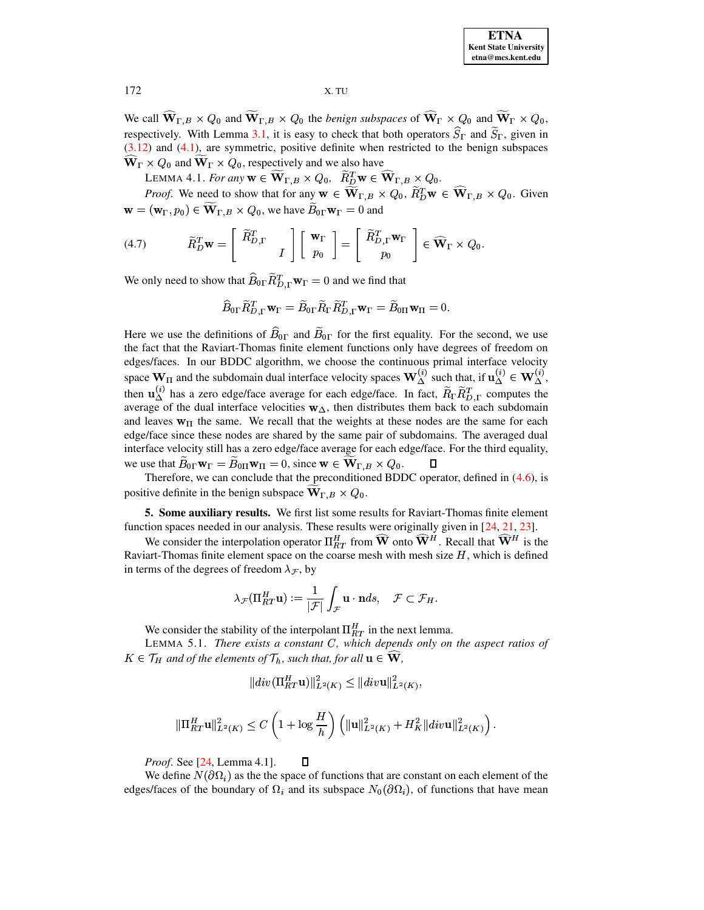**ETNA Kent State University** etna@mcs.kent.edu

X. TU

We call  $\widehat{\mathbf{W}}_{\Gamma,B} \times Q_0$  and  $\widetilde{\mathbf{W}}_{\Gamma,B} \times Q_0$  the *benign subspaces* of  $\widehat{\mathbf{W}}_{\Gamma} \times Q_0$  and  $\widetilde{\mathbf{W}}_{\Gamma} \times Q_0$ , respectively. With Lemma 3.1, it is easy to check that both operators  $\hat{S}_{\Gamma}$  and  $\tilde{S}_{\Gamma}$ , given in  $(3.12)$  and  $(4.1)$ , are symmetric, positive definite when restricted to the benign subspaces  $\widehat{\mathbf{W}}_{\Gamma} \times Q_0$  and  $\widetilde{\mathbf{W}}_{\Gamma} \times Q_0$ , respectively and we also have

LEMMA 4.1. For any  $\mathbf{w} \in \widetilde{\mathbf{W}}_{\Gamma,B} \times Q_0$ ,  $\widetilde{R}_{D}^T \mathbf{w} \in \widehat{\mathbf{W}}_{\Gamma,B} \times Q_0$ .

<span id="page-8-0"></span>*Proof.* We need to show that for any  $\mathbf{w} \in \widetilde{\mathbf{W}}_{\Gamma,B} \times Q_0$ ,  $\widetilde{R}_D^T \mathbf{w} \in \widehat{\mathbf{W}}_{\Gamma,B} \times Q_0$ . Given  $\mathbf{w} = (\mathbf{w}_{\Gamma}, p_0) \in \mathbf{W}_{\Gamma, B} \times Q_0$ , we have  $B_{0\Gamma} \mathbf{w}_{\Gamma} = 0$  and

(4.7) 
$$
\widetilde{R}_{D}^{T}\mathbf{w} = \begin{bmatrix} \widetilde{R}_{D,\Gamma}^{T} \\ I \end{bmatrix} \begin{bmatrix} \mathbf{w}_{\Gamma} \\ p_{0} \end{bmatrix} = \begin{bmatrix} \widetilde{R}_{D,\Gamma}^{T}\mathbf{w}_{\Gamma} \\ p_{0} \end{bmatrix} \in \widehat{\mathbf{W}}_{\Gamma} \times Q_{0}
$$

We only need to show that  $\widehat{B}_{0\Gamma} \widetilde{R}_{D,\Gamma}^T \mathbf{w}_{\Gamma} = 0$  and we find that

$$
\widehat{B}_{0\Gamma}\widetilde{R}_{D,\Gamma}^T\mathbf{w}_{\Gamma} = \widetilde{B}_{0\Gamma}\widetilde{R}_{\Gamma}\widetilde{R}_{D,\Gamma}^T\mathbf{w}_{\Gamma} = \widetilde{B}_{0\Pi}\mathbf{w}_{\Pi} = 0.
$$

Here we use the definitions of  $\hat{B}_{0\Gamma}$  and  $\hat{B}_{0\Gamma}$  for the first equality. For the second, we use the fact that the Raviart-Thomas finite element functions only have degrees of freedom on edges/faces. In our BDDC algorithm, we choose the continuous primal interface velocity space  $W_{\Pi}$  and the subdomain dual interface velocity spaces  $W_{\Delta}^{(i)}$  such that, if  $\mathbf{u}_{\Delta}^{(i)} \in W_{\Delta}^{(i)}$ , then  $\mathbf{u}_{\Delta}^{(i)}$  has a zero edge/face average for each edge/face. In fact,  $\widetilde{R}_{\Gamma} \widetilde{R}_{D,\Gamma}^T$  computes the average of the dual interface velocities  $w_{\Delta}$ , then distributes them back to each subdomain and leaves  $w_{\Pi}$  the same. We recall that the weights at these nodes are the same for each edge/face since these nodes are shared by the same pair of subdomains. The averaged dual interface velocity still has a zero edge/face average for each edge/face. For the third equality, we use that  $B_{0\Gamma} \mathbf{w}_{\Gamma} = B_{0\Pi} \mathbf{w}_{\Pi} = 0$ , since  $\mathbf{w} \in \mathbf{W}_{\Gamma,B} \times Q_0$ .

Therefore, we can conclude that the preconditioned BDDC operator, defined in (4.6), is positive definite in the benign subspace  $\mathbf{W}_{\Gamma,B} \times Q_0$ .

5. Some auxiliary results. We first list some results for Raviart-Thomas finite element function spaces needed in our analysis. These results were originally given in  $[24, 21, 23]$ .

We consider the interpolation operator  $\Pi_{RT}^H$  from  $\widehat{W}$  onto  $\widehat{W}^H$ . Recall that  $\widehat{W}^H$  is the Raviart-Thomas finite element space on the coarse mesh with mesh size  $H$ , which is defined in terms of the degrees of freedom  $\lambda_{\mathcal{F}}$ , by

$$
\lambda_{\mathcal{F}}(\Pi_{RT}^H \mathbf{u}) := \frac{1}{|\mathcal{F}|} \int_{\mathcal{F}} \mathbf{u} \cdot \mathbf{n} ds, \quad \mathcal{F} \subset \mathcal{F}_H.
$$

We consider the stability of the interpolant  $\Pi_{RT}^H$  in the next lemma.

<span id="page-8-1"></span>LEMMA 5.1. There exists a constant C, which depends only on the aspect ratios of  $K \in \mathcal{T}_H$  and of the elements of  $\mathcal{T}_h$ , such that, for all  $\mathbf{u} \in \widehat{\mathbf{W}}$ ,

$$
||div(\Pi_{RT}^H \mathbf{u})||_{L^2(K)}^2 \leq ||div\mathbf{u}||_{L^2(K)}^2,
$$

$$
\|\Pi_{RT}^H{\bf u}\|_{L^2(K)}^2\leq C\left(1+\log\frac{H}{h}\right)\left(\|{\bf u}\|_{L^2(K)}^2+H_K^2\|div{\bf u}\|_{L^2(K)}^2\right).
$$

 $\Box$ *Proof.* See [24, Lemma 4.1].

We define  $N(\partial \Omega_i)$  as the the space of functions that are constant on each element of the edges/faces of the boundary of  $\Omega_i$  and its subspace  $N_0(\partial\Omega_i)$ , of functions that have mean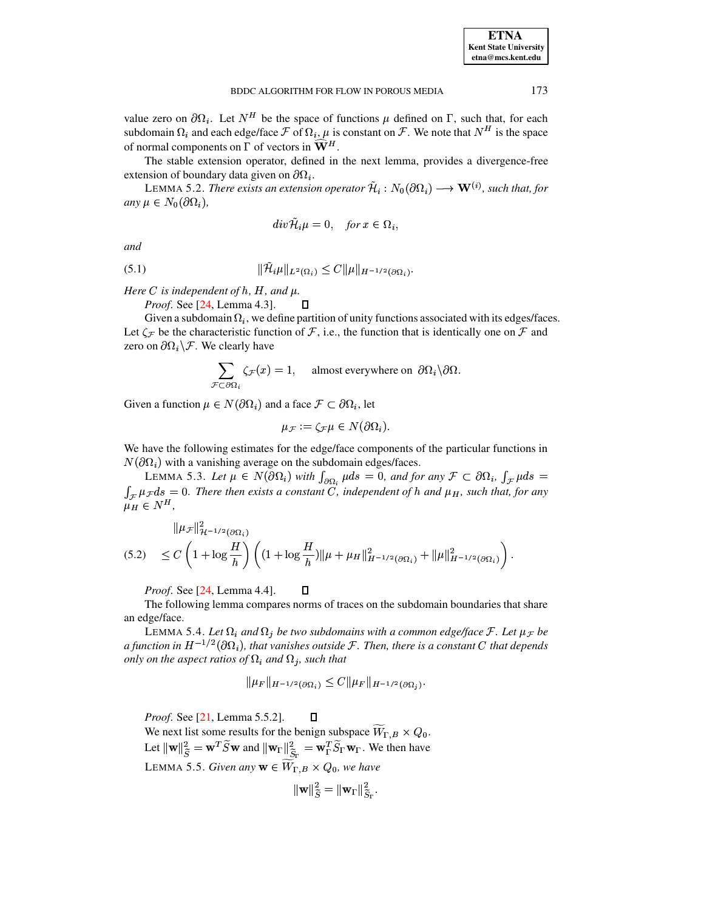value zero on  $\partial \Omega_i$ . Let  $N^H$  be the space of functions  $\mu$  defined on  $\Gamma$ , such that, for each subdomain  $\Omega_i$  and each edge/face  $\mathcal F$  of  $\Omega_i$ ,  $\mu$  is constant on  $\mathcal F$ . We note that  $N^H$  is the space of normal components on  $\Gamma$  of vectors in  $\widehat{\mathbf{W}}^H$ .

The stable extension operator, defined in the next lemma, provides a divergence-free extension of boundary data given on  $\partial\Omega_i$ .

<span id="page-9-1"></span>LEMMA 5.2. There exists an extension operator  $\mathcal{H}_i : N_0(\partial \Omega_i) \longrightarrow \mathbf{W}^{(i)}$ , such that, for any  $\mu \in N_0(\partial \Omega_i)$ ,

$$
div \tilde{\mathcal{H}}_i \mu = 0, \quad \text{for } x \in \Omega_i,
$$

and

(5.1) 
$$
\|\mathcal{H}_{i}\mu\|_{L^{2}(\Omega_{i})} \leq C \|\mu\|_{H^{-1/2}(\partial\Omega_{i})}.
$$

Here C is independent of  $h$ ,  $H$ , and  $\mu$ .

*Proof.* See [24, Lemma 4.3]. 0

Given a subdomain  $\Omega_i$ , we define partition of unity functions associated with its edges/faces. Let  $\zeta_{\mathcal{F}}$  be the characteristic function of  $\mathcal{F}$ , i.e., the function that is identically one on  $\mathcal{F}$  and zero on  $\partial\Omega_i\backslash\mathcal{F}$ . We clearly have

$$
\sum_{\mathcal{F}\subset\partial\Omega_i}\zeta_{\mathcal{F}}(x)=1,\quad \text{almost everywhere on }\partial\Omega_i\backslash\partial\Omega.
$$

Given a function  $\mu \in N(\partial \Omega_i)$  and a face  $\mathcal{F} \subset \partial \Omega_i$ , let

<span id="page-9-3"></span>
$$
\mu_{\mathcal{F}} := \zeta_{\mathcal{F}} \mu \in N(\partial \Omega_i).
$$

We have the following estimates for the edge/face components of the particular functions in  $N(\partial\Omega_i)$  with a vanishing average on the subdomain edges/faces.

LEMMA 5.3. Let  $\mu \in N(\partial \Omega_i)$  with  $\int_{\partial \Omega_i} \mu ds = 0$ , and for any  $\mathcal{F} \subset \partial \Omega_i$ ,  $\int_{\mathcal{F}} \mu ds =$  $\int_{\mathcal{F}} \mu_{\mathcal{F}} ds = 0$ . There then exists a constant C, independent of h and  $\mu_H$ , such that, for any  $\mu_H \in N^H$ ,

$$
\|\mu_{\mathcal{F}}\|_{\mathcal{H}^{-1/2}(\partial\Omega_i)}^2
$$
  
(5.2) 
$$
\leq C \left(1 + \log \frac{H}{h}\right) \left( (1 + \log \frac{H}{h}) \|\mu + \mu_H\|_{H^{-1/2}(\partial\Omega_i)}^2 + \|\mu\|_{H^{-1/2}(\partial\Omega_i)}^2 \right)
$$

 $\Box$ 

Proof. See [24, Lemma 4.4].

 $\ddot{\phantom{a}}$  $\sim$ 

The following lemma compares norms of traces on the subdomain boundaries that share an edge/face.

<span id="page-9-2"></span>LEMMA 5.4. Let  $\Omega_i$  and  $\Omega_j$  be two subdomains with a common edge/face  $\mathcal{F}$ . Let  $\mu_{\mathcal{F}}$  be a function in  $H^{-1/2}(\partial\Omega_i)$ , that vanishes outside F. Then, there is a constant C that depends only on the aspect ratios of  $\Omega_i$  and  $\Omega_j$ , such that

$$
\|\mu_F\|_{H^{-1/2}(\partial\Omega_i)} \le C \|\mu_F\|_{H^{-1/2}(\partial\Omega_i)}
$$

 $\Box$ *Proof.* See [21, Lemma 5.5.2].

<span id="page-9-0"></span>We next list some results for the benign subspace  $\overline{W}_{\Gamma,B} \times Q_0$ . Let  $\|\mathbf{w}\|_{\widetilde{S}}^2 = \mathbf{w}^T \widetilde{S} \mathbf{w}$  and  $\|\mathbf{w}_{\Gamma}\|_{\widetilde{S}_{\Gamma}}^2 = \mathbf{w}_{\Gamma}^T \widetilde{S}_{\Gamma} \mathbf{w}_{\Gamma}$ . We then have LEMMA 5.5. Given any  $\mathbf{w} \in \widetilde{W}_{\Gamma,B} \times Q_0$ , we have

$$
\|\mathbf{w}\|_{\widetilde{S}}^2 = \|\mathbf{w}_\Gamma\|_{\widetilde{S}_\Gamma}^2.
$$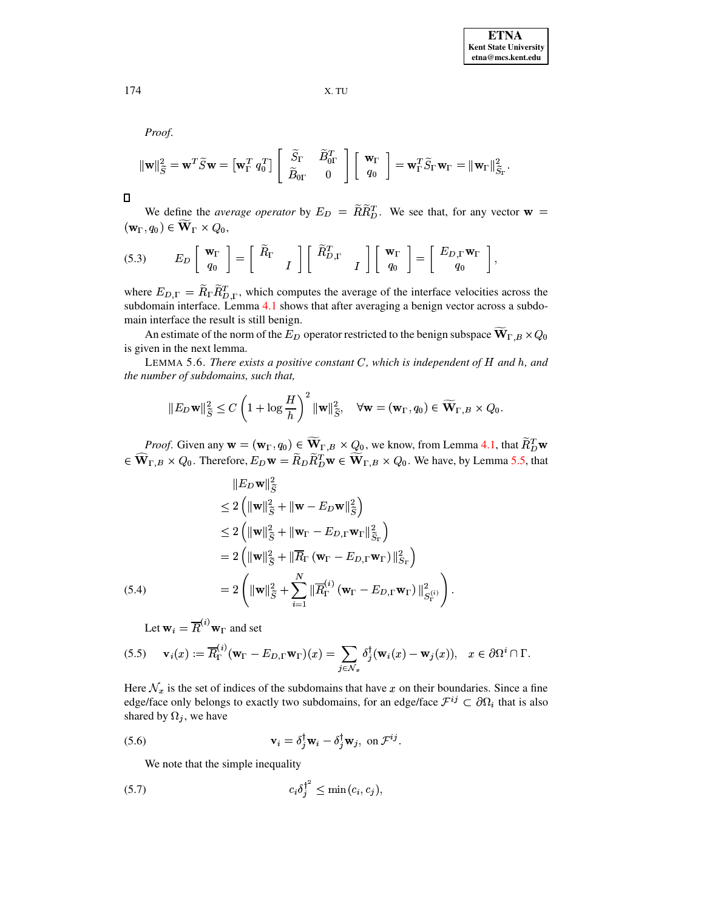Proof.

$$
\|\mathbf{w}\|_{\widetilde{S}}^2 = \mathbf{w}^T \widetilde{S} \mathbf{w} = \begin{bmatrix} \mathbf{w}_{\Gamma}^T q_0^T \end{bmatrix} \begin{bmatrix} \widetilde{S}_{\Gamma} & \widetilde{B}_{0\Gamma}^T \\ \widetilde{B}_{0\Gamma} & 0 \end{bmatrix} \begin{bmatrix} \mathbf{w}_{\Gamma} \\ q_0 \end{bmatrix} = \mathbf{w}_{\Gamma}^T \widetilde{S}_{\Gamma} \mathbf{w}_{\Gamma} = \|\mathbf{w}_{\Gamma}\|_{\widetilde{S}_{\Gamma}}^2
$$

 $\Box$ 

We define the *average operator* by  $E_D = \widetilde{R}\widetilde{R}_{D}^T$ . We see that, for any vector **w** =  $(\mathbf{w}_{\Gamma}, q_0) \in \widetilde{\mathbf{W}}_{\Gamma} \times Q_0,$ 

$$
(5.3) \t E_D \begin{bmatrix} \mathbf{w}_{\Gamma} \\ q_0 \end{bmatrix} = \begin{bmatrix} \widetilde{R}_{\Gamma} \\ I \end{bmatrix} \begin{bmatrix} \widetilde{R}_{D,\Gamma}^T \\ I \end{bmatrix} \begin{bmatrix} \mathbf{w}_{\Gamma} \\ q_0 \end{bmatrix} = \begin{bmatrix} E_{D,\Gamma} \mathbf{w}_{\Gamma} \\ q_0 \end{bmatrix}
$$

where  $E_{D,\Gamma} = \widetilde{R}_{\Gamma} \widetilde{R}_{D,\Gamma}^T$ , which computes the average of the interface velocities across the subdomain interface. Lemma 4.1 shows that after averaging a benign vector across a subdomain interface the result is still benign.

An estimate of the norm of the  $E_D$  operator restricted to the benign subspace  $\overline{W}_{\Gamma,B} \times Q_0$ is given in the next lemma.

<span id="page-10-4"></span>LEMMA 5.6. There exists a positive constant  $C$ , which is independent of  $H$  and  $h$ , and the number of subdomains, such that,

$$
||E_D \mathbf{w}||_{\widetilde{S}}^2 \leq C \left(1 + \log \frac{H}{h}\right)^2 ||\mathbf{w}||_{\widetilde{S}}^2, \quad \forall \mathbf{w} = (\mathbf{w}_{\Gamma}, q_0) \in \widetilde{\mathbf{W}}_{\Gamma, B} \times Q_0.
$$

*Proof.* Given any  $\mathbf{w} = (\mathbf{w}_{\Gamma}, q_0) \in \widetilde{\mathbf{W}}_{\Gamma, B} \times Q_0$ , we know, from Lemma 4.1, that  $\widetilde{R}_{D}^T \mathbf{w}$  $\in \widehat{\mathbf{W}}_{\Gamma,B} \times Q_0$ . Therefore,  $E_D \mathbf{w} = \widetilde{R}_D \widetilde{R}_D^T \mathbf{w} \in \widetilde{\mathbf{W}}_{\Gamma,B} \times Q_0$ . We have, by Lemma 5.5, that

<span id="page-10-2"></span>
$$
\|E_D \mathbf{w}\|_{\widetilde{S}}^2
$$
\n
$$
\leq 2 \left( \|\mathbf{w}\|_{\widetilde{S}}^2 + \|\mathbf{w} - E_D \mathbf{w}\|_{\widetilde{S}}^2 \right)
$$
\n
$$
\leq 2 \left( \|\mathbf{w}\|_{\widetilde{S}}^2 + \|\mathbf{w}_{\Gamma} - E_{D,\Gamma} \mathbf{w}_{\Gamma}\|_{\widetilde{S}_{\Gamma}}^2 \right)
$$
\n
$$
= 2 \left( \|\mathbf{w}\|_{\widetilde{S}}^2 + \|\overline{R}_{\Gamma} (\mathbf{w}_{\Gamma} - E_{D,\Gamma} \mathbf{w}_{\Gamma})\|_{S_{\Gamma}}^2 \right)
$$
\n(5.4)\n
$$
= 2 \left( \|\mathbf{w}\|_{\widetilde{S}}^2 + \sum_{i=1}^N \|\overline{R}_{\Gamma}^{(i)} (\mathbf{w}_{\Gamma} - E_{D,\Gamma} \mathbf{w}_{\Gamma})\|_{S_{\Gamma}}^2 \right).
$$

<span id="page-10-3"></span>Let  $\mathbf{w}_i = \overline{R}^{(i)} \mathbf{w}_{\Gamma}$  and set

(5.5) 
$$
\mathbf{v}_i(x) := \overline{R}_{\Gamma}^{(i)}(\mathbf{w}_{\Gamma} - E_{D,\Gamma}\mathbf{w}_{\Gamma})(x) = \sum_{j \in \mathcal{N}_x} \delta_j^{\dagger}(\mathbf{w}_i(x) - \mathbf{w}_j(x)), \quad x \in \partial \Omega^i \cap \Gamma.
$$

Here  $\mathcal{N}_x$  is the set of indices of the subdomains that have x on their boundaries. Since a fine edge/face only belongs to exactly two subdomains, for an edge/face  $\mathcal{F}^{ij} \subset \partial \Omega_i$  that is also shared by  $\Omega_j$ , we have

<span id="page-10-0"></span>(5.6) 
$$
\mathbf{v}_{i} = \delta_{j}^{\dagger} \mathbf{w}_{i} - \delta_{j}^{\dagger} \mathbf{w}_{j}, \text{ on } \mathcal{F}^{ij}.
$$

<span id="page-10-1"></span>We note that the simple inequality

$$
(5.7) \t\t\t c_i \delta_j^{\dagger^2} \leq \min(c_i, c_j),
$$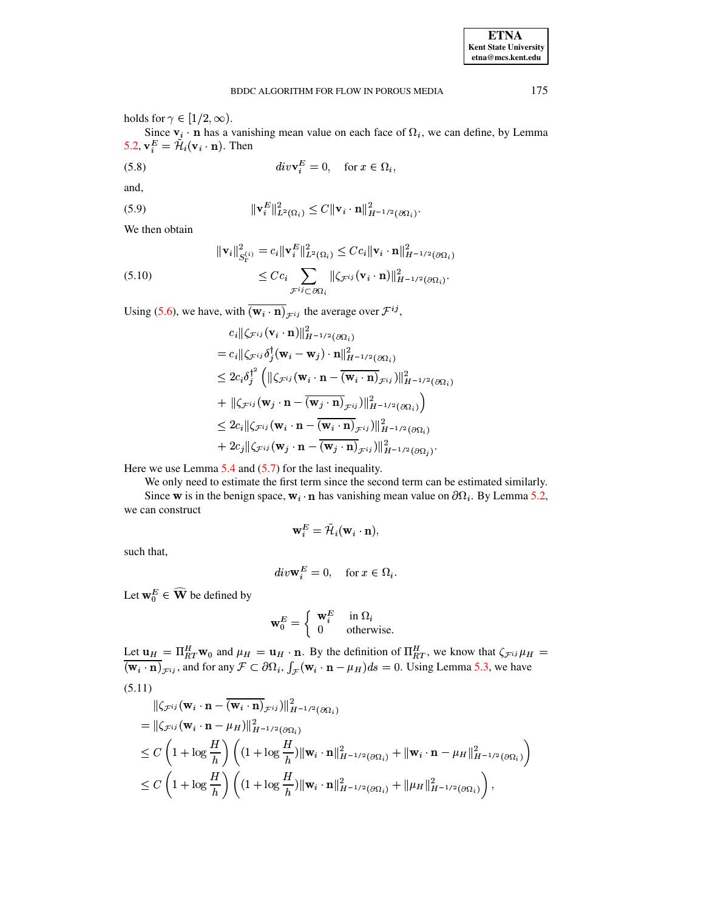Since  $v_i \cdot n$  has a vanishing mean value on each face of  $\Omega_i$ , we can define, by Lemma 5.2,  $\mathbf{v}_i^E = \tilde{\mathcal{H}}_i(\mathbf{v}_i \cdot \mathbf{n})$ . Then

(5.8) 
$$
div\mathbf{v}_i^E = 0, \quad \text{for } x \in \Omega_i,
$$

and,

(5.9) 
$$
\|\mathbf{v}_i^E\|_{L^2(\Omega_i)}^2 \leq C \|\mathbf{v}_i \cdot \mathbf{n}\|_{H^{-1/2}(\partial \Omega_i)}^2
$$

We then obtain

<span id="page-11-1"></span>(5.10)  
\n
$$
\|\mathbf{v}_i\|_{S_{\Gamma}^{(i)}}^2 = c_i \|\mathbf{v}_i^E\|_{L^2(\Omega_i)}^2 \leq C c_i \|\mathbf{v}_i \cdot \mathbf{n}\|_{H^{-1/2}(\partial \Omega_i)}^2
$$
\n
$$
\leq C c_i \sum_{\mathcal{F}^{ij} \subset \partial \Omega_i} \| \zeta_{\mathcal{F}^{ij}}(\mathbf{v}_i \cdot \mathbf{n}) \|_{H^{-1/2}(\partial \Omega_i)}^2.
$$

Using (5.6), we have, with  $\overline{(\mathbf{w}_i \cdot \mathbf{n})}_{\mathcal{F}^{ij}}$  the average over  $\mathcal{F}^{ij}$ ,

$$
c_{i} \|\zeta_{\mathcal{F}^{ij}}(\mathbf{v}_{i} \cdot \mathbf{n})\|_{H^{-1/2}(\partial \Omega_{i})}^{2}
$$
\n
$$
= c_{i} \|\zeta_{\mathcal{F}^{ij}} \delta_{j}^{\dagger}(\mathbf{w}_{i} - \mathbf{w}_{j}) \cdot \mathbf{n}\|_{H^{-1/2}(\partial \Omega_{i})}^{2}
$$
\n
$$
\leq 2 c_{i} \delta_{j}^{\dagger^{2}} \left( \|\zeta_{\mathcal{F}^{ij}}(\mathbf{w}_{i} \cdot \mathbf{n} - \overline{(\mathbf{w}_{i} \cdot \mathbf{n})_{\mathcal{F}^{ij}}})\|_{H^{-1/2}(\partial \Omega_{i})}^{2} \right)
$$
\n
$$
+ \|\zeta_{\mathcal{F}^{ij}}(\mathbf{w}_{j} \cdot \mathbf{n} - \overline{(\mathbf{w}_{j} \cdot \mathbf{n})_{\mathcal{F}^{ij}}})\|_{H^{-1/2}(\partial \Omega_{i})}^{2} \right)
$$
\n
$$
\leq 2 c_{i} \|\zeta_{\mathcal{F}^{ij}}(\mathbf{w}_{i} \cdot \mathbf{n} - \overline{(\mathbf{w}_{i} \cdot \mathbf{n})_{\mathcal{F}^{ij}}})\|_{H^{-1/2}(\partial \Omega_{i})}^{2}
$$
\n
$$
+ 2 c_{j} \|\zeta_{\mathcal{F}^{ij}}(\mathbf{w}_{j} \cdot \mathbf{n} - \overline{(\mathbf{w}_{j} \cdot \mathbf{n})_{\mathcal{F}^{ij}}})\|_{H^{-1/2}(\partial \Omega_{i})}^{2}.
$$

Here we use Lemma  $5.4$  and  $(5.7)$  for the last inequality.

We only need to estimate the first term since the second term can be estimated similarly. Since w is in the benign space,  $w_i \cdot n$  has vanishing mean value on  $\partial \Omega_i$ . By Lemma 5.2, we can construct

$$
\mathbf{w}_i^E = \tilde{\mathcal{H}}_i(\mathbf{w}_i \cdot \mathbf{n})_i
$$

such that,

$$
div\mathbf{w}_i^E = 0, \quad \text{for } x \in \Omega_i.
$$

Let  $\mathbf{w}_0^E \in \widehat{\mathbf{W}}$  be defined by

$$
\mathbf{w}_0^E = \left\{ \begin{array}{ll} \mathbf{w}_i^E & \text{in } \Omega_i \\ 0 & \text{otherwise} \end{array} \right.
$$

<span id="page-11-0"></span>Let  $\mathbf{u}_H = \Pi_{RT}^H \mathbf{w}_0$  and  $\mu_H = \mathbf{u}_H \cdot \mathbf{n}$ . By the definition of  $\Pi_{RT}^H$ , we know that  $\zeta_{\mathcal{F}^{ij}} \mu_H = (\mathbf{w}_i \cdot \mathbf{n})_{\mathcal{F}^{ij}}$ , and for any  $\mathcal{F} \subset \partial \Omega_i$ ,  $\int_{\mathcal{F}} (\mathbf{w}_i \cdot \mathbf{n} - \mu_H) ds = 0$ . Using Lemma  $(5.11)$ 

$$
\|\zeta_{\mathcal{F}^{ij}}(\mathbf{w}_{i}\cdot\mathbf{n}-\overline{(\mathbf{w}_{i}\cdot\mathbf{n})}_{\mathcal{F}^{ij}})\|_{H^{-1/2}(\partial\Omega_{i})}^{2}
$$
\n
$$
=\|\zeta_{\mathcal{F}^{ij}}(\mathbf{w}_{i}\cdot\mathbf{n}-\mu_{H})\|_{H^{-1/2}(\partial\Omega_{i})}^{2}
$$
\n
$$
\leq C\left(1+\log\frac{H}{h}\right)\left((1+\log\frac{H}{h})\|\mathbf{w}_{i}\cdot\mathbf{n}\|_{H^{-1/2}(\partial\Omega_{i})}^{2}+\|\mathbf{w}_{i}\cdot\mathbf{n}-\mu_{H}\|_{H^{-1/2}(\partial\Omega_{i})}^{2}\right)
$$
\n
$$
\leq C\left(1+\log\frac{H}{h}\right)\left((1+\log\frac{H}{h})\|\mathbf{w}_{i}\cdot\mathbf{n}\|_{H^{-1/2}(\partial\Omega_{i})}^{2}+\|\mu_{H}\|_{H^{-1/2}(\partial\Omega_{i})}^{2}\right),
$$

175

**ETNA Kent State University**  $etna@mcs. kent.edu$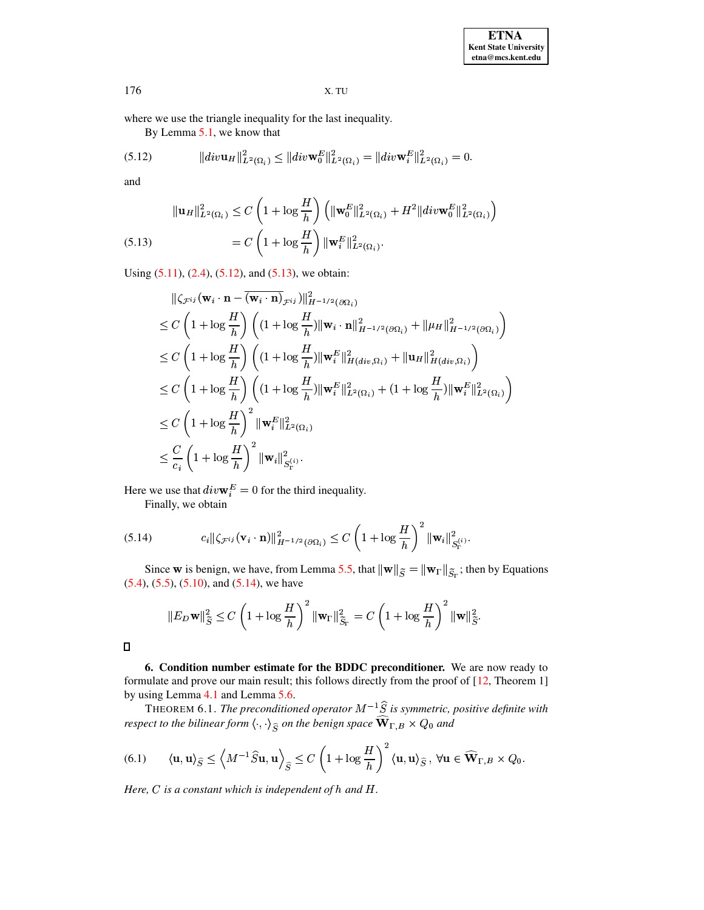where we use the triangle inequality for the last inequality.

<span id="page-12-0"></span>By Lemma 5.1, we know that

(5.12) 
$$
\|div \mathbf{u}_H\|_{L^2(\Omega_i)}^2 \leq \|div \mathbf{w}_0^E\|_{L^2(\Omega_i)}^2 = \|div \mathbf{w}_i^E\|_{L^2(\Omega_i)}^2 = 0.
$$

and

<span id="page-12-1"></span>(5.13) 
$$
\|\mathbf{u}_H\|_{L^2(\Omega_i)}^2 \leq C \left(1 + \log \frac{H}{h}\right) \left(\|\mathbf{w}_0^E\|_{L^2(\Omega_i)}^2 + H^2 \|div \mathbf{w}_0^E\|_{L^2(\Omega_i)}^2\right)
$$

$$
= C \left(1 + \log \frac{H}{h}\right) \|\mathbf{w}_i^E\|_{L^2(\Omega_i)}^2.
$$

Using  $(5.11)$ ,  $(2.4)$ ,  $(5.12)$ , and  $(5.13)$ , we obtain:

$$
\begin{split}\n&\|\zeta_{\mathcal{F}^{ij}}(\mathbf{w}_i \cdot \mathbf{n} - \overline{(\mathbf{w}_i \cdot \mathbf{n})}_{\mathcal{F}^{ij}})\|_{H^{-1/2}(\partial\Omega_i)}^2 \\
&\leq C \left(1 + \log \frac{H}{h}\right) \left((1 + \log \frac{H}{h}) \|\mathbf{w}_i \cdot \mathbf{n}\|_{H^{-1/2}(\partial\Omega_i)}^2 + \|\mu_H\|_{H^{-1/2}(\partial\Omega_i)}^2\right) \\
&\leq C \left(1 + \log \frac{H}{h}\right) \left((1 + \log \frac{H}{h}) \|\mathbf{w}_i^E\|_{H(div,\Omega_i)}^2 + \|\mathbf{u}_H\|_{H(div,\Omega_i)}^2\right) \\
&\leq C \left(1 + \log \frac{H}{h}\right) \left((1 + \log \frac{H}{h}) \|\mathbf{w}_i^E\|_{L^2(\Omega_i)}^2 + (1 + \log \frac{H}{h}) \|\mathbf{w}_i^E\|_{L^2(\Omega_i)}^2\right) \\
&\leq C \left(1 + \log \frac{H}{h}\right)^2 \|\mathbf{w}_i^E\|_{L^2(\Omega_i)}^2 \\
&\leq \frac{C}{c_i} \left(1 + \log \frac{H}{h}\right)^2 \|\mathbf{w}_i\|_{S_i^{(i)}}^2.\n\end{split}
$$

Here we use that  $div\mathbf{w}_i^E = 0$  for the third inequality.

<span id="page-12-2"></span>Finally, we obtain

(5.14) 
$$
c_i \|\zeta_{\mathcal{F}^{ij}}(\mathbf{v}_i \cdot \mathbf{n})\|_{H^{-1/2}(\partial \Omega_i)}^2 \leq C \left(1 + \log \frac{H}{h}\right)^2 \|\mathbf{w}_i\|_{S_{\Gamma}^{(i)}}^2.
$$

Since w is benign, we have, from Lemma 5.5, that  $\|\mathbf{w}\|_{\widetilde{S}} = \|\mathbf{w}_{\Gamma}\|_{\widetilde{S}_{\Gamma}}$ ; then by Equations  $(5.4)$ ,  $(5.5)$ ,  $(5.10)$ , and  $(5.14)$ , we have

$$
\|E_D \mathbf{w}\|_{\widetilde{S}}^2 \le C\left(1 + \log \frac{H}{h}\right)^2 \|\mathbf{w}_{\Gamma}\|_{\widetilde{S}_{\Gamma}}^2 = C\left(1 + \log \frac{H}{h}\right)^2 \|\mathbf{w}\|_{\widetilde{S}}^2.
$$

 $\Box$ 

6. Condition number estimate for the BDDC preconditioner. We are now ready to formulate and prove our main result; this follows directly from the proof of [12, Theorem 1] by using Lemma 4.1 and Lemma 5.6.

THEOREM 6.1. The preconditioned operator  $M^{-1}\hat{S}$  is symmetric, positive definite with respect to the bilinear form  $\langle \cdot, \cdot \rangle_{\hat{S}}$  on the benign space  $\widehat{\mathbf{W}}_{\Gamma,B} \times Q_0$  and

(6.1) 
$$
\langle \mathbf{u}, \mathbf{u} \rangle_{\widehat{S}} \le \left\langle M^{-1} \widehat{S} \mathbf{u}, \mathbf{u} \right\rangle_{\widehat{S}} \le C \left( 1 + \log \frac{H}{h} \right)^2 \langle \mathbf{u}, \mathbf{u} \rangle_{\widehat{S}}, \ \forall \mathbf{u} \in \widehat{\mathbf{W}}_{\Gamma, B} \times Q_0
$$

Here,  $C$  is a constant which is independent of  $h$  and  $H$ .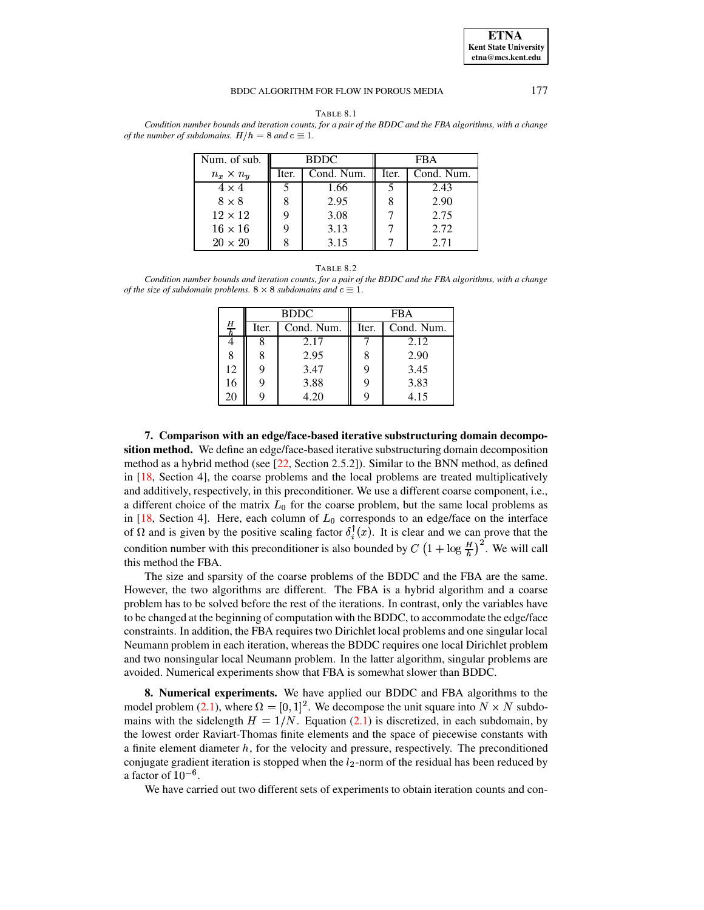

177

<span id="page-13-1"></span>TABLE 8.1 Condition number bounds and iteration counts, for a pair of the BDDC and the FBA algorithms, with a change of the number of subdomains.  $H/h = 8$  and  $c \equiv 1$ .

| Num. of sub.     | <b>BDDC</b> |            | <b>FBA</b> |            |
|------------------|-------------|------------|------------|------------|
| $n_x \times n_y$ | Iter.       | Cond. Num. | Iter.      | Cond. Num. |
| $4 \times 4$     |             | 1.66       |            | 2.43       |
| $8 \times 8$     |             | 2.95       |            | 2.90       |
| $12 \times 12$   | 9           | 3.08       |            | 2.75       |
| $16 \times 16$   |             | 3.13       |            | 2.72       |
| $20 \times 20$   |             | 3.15       |            | 2 71       |

#### TABLE 8.2

<span id="page-13-2"></span>Condition number bounds and iteration counts, for a pair of the BDDC and the FBA algorithms, with a change of the size of subdomain problems.  $8 \times 8$  subdomains and  $c \equiv 1$ .

|             |       | <b>BDDC</b> | FBA   |            |  |
|-------------|-------|-------------|-------|------------|--|
| $rac{H}{h}$ | Iter. | Cond. Num.  | Iter. | Cond. Num. |  |
|             | 8     | 2.17        |       | 2.12       |  |
| 8           | 8     | 2.95        |       | 2.90       |  |
| 12          | 9     | 3.47        |       | 3.45       |  |
| 16          | 9     | 3.88        |       | 3.83       |  |
| 20          | 9     | 4.20        |       | 4.15       |  |

<span id="page-13-0"></span>7. Comparison with an edge/face-based iterative substructuring domain decomposition method. We define an edge/face-based iterative substructuring domain decomposition method as a hybrid method (see  $[22, Section 2.5.2]$ ). Similar to the BNN method, as defined in  $[18, \text{ Section 4}]$ , the coarse problems and the local problems are treated multiplicatively and additively, respectively, in this preconditioner. We use a different coarse component, i.e., a different choice of the matrix  $L_0$  for the coarse problem, but the same local problems as in [18, Section 4]. Here, each column of  $L_0$  corresponds to an edge/face on the interface of  $\Omega$  and is given by the positive scaling factor  $\delta_i^{\dagger}(x)$ . It is clear and we can prove that the condition number with this preconditioner is also bounded by  $C\left(1+\log\frac{H}{h}\right)^2$ . We will call this method the FBA.

The size and sparsity of the coarse problems of the BDDC and the FBA are the same. However, the two algorithms are different. The FBA is a hybrid algorithm and a coarse problem has to be solved before the rest of the iterations. In contrast, only the variables have to be changed at the beginning of computation with the BDDC, to accommodate the edge/face constraints. In addition, the FBA requires two Dirichlet local problems and one singular local Neumann problem in each iteration, whereas the BDDC requires one local Dirichlet problem and two nonsingular local Neumann problem. In the latter algorithm, singular problems are avoided. Numerical experiments show that FBA is somewhat slower than BDDC.

8. Numerical experiments. We have applied our BDDC and FBA algorithms to the model problem (2.1), where  $\Omega = [0, 1]^2$ . We decompose the unit square into  $N \times N$  subdomains with the sidelength  $H = 1/N$ . Equation (2.1) is discretized, in each subdomain, by the lowest order Raviart-Thomas finite elements and the space of piecewise constants with a finite element diameter  $h$ , for the velocity and pressure, respectively. The preconditioned conjugate gradient iteration is stopped when the  $l_2$ -norm of the residual has been reduced by a factor of  $10^{-6}$ .

We have carried out two different sets of experiments to obtain iteration counts and con-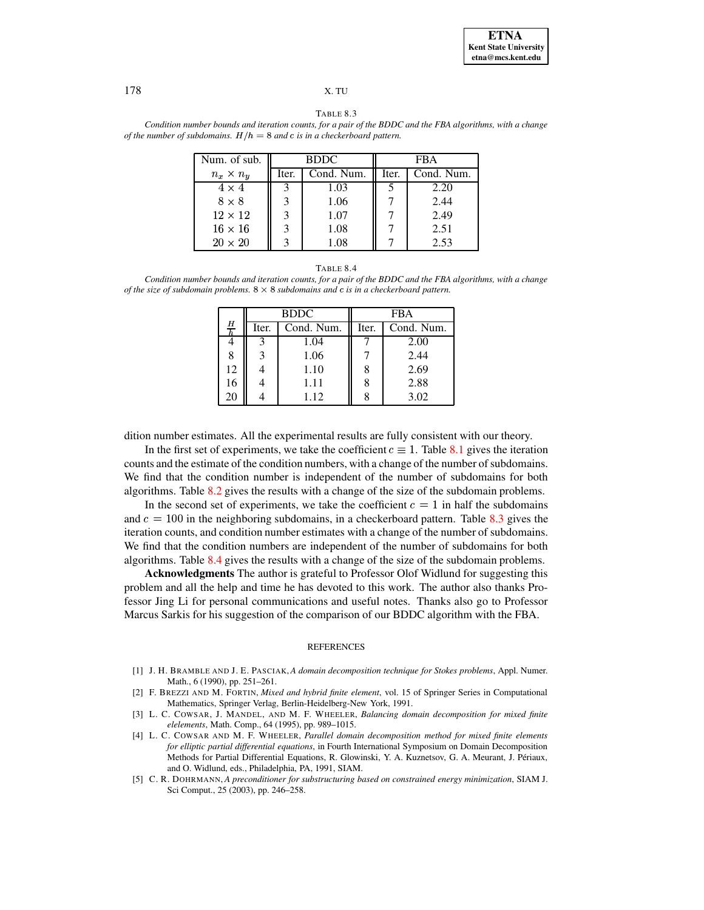TABLE 8.3

<span id="page-14-5"></span>Condition number bounds and iteration counts, for a pair of the BDDC and the FBA algorithms, with a change of the number of subdomains.  $H/h = 8$  and c is in a checkerboard pattern.

| Num. of sub.     | <b>BDDC</b> |            | FBA   |            |
|------------------|-------------|------------|-------|------------|
| $n_x \times n_y$ | Iter.       | Cond. Num. | Iter. | Cond. Num. |
| $4 \times 4$     |             | 1.03       |       | 2.20       |
| $8 \times 8$     |             | 1.06       |       | 2.44       |
| $12 \times 12$   | 3           | 1.07       |       | 2.49       |
| $16 \times 16$   | 3           | 1.08       |       | 2.51       |
| $20 \times 20$   |             |            |       | 2.53       |

#### TABLE 8.4

<span id="page-14-6"></span>Condition number bounds and iteration counts, for a pair of the BDDC and the FBA algorithms, with a change of the size of subdomain problems.  $8 \times 8$  subdomains and c is in a checkerboard pattern.

|               |       | <b>BDDC</b> | <b>FBA</b> |            |  |
|---------------|-------|-------------|------------|------------|--|
| $\frac{H}{h}$ | Iter. | Cond. Num.  | Iter.      | Cond. Num. |  |
|               | 3     | 1.04        |            | 2.00       |  |
| 8             | 3     | 1.06        |            | 2.44       |  |
| 12            |       | 1.10        | 8          | 2.69       |  |
| 16            |       | 1.11        | 8          | 2.88       |  |
| 20            |       | 1.12        |            | 3.02       |  |

dition number estimates. All the experimental results are fully consistent with our theory.

In the first set of experiments, we take the coefficient  $c \equiv 1$ . Table 8.1 gives the iteration counts and the estimate of the condition numbers, with a change of the number of subdomains. We find that the condition number is independent of the number of subdomains for both algorithms. Table 8.2 gives the results with a change of the size of the subdomain problems.

In the second set of experiments, we take the coefficient  $c = 1$  in half the subdomains and  $c = 100$  in the neighboring subdomains, in a checkerboard pattern. Table 8.3 gives the iteration counts, and condition number estimates with a change of the number of subdomains. We find that the condition numbers are independent of the number of subdomains for both algorithms. Table 8.4 gives the results with a change of the size of the subdomain problems.

Acknowledgments The author is grateful to Professor Olof Widlund for suggesting this problem and all the help and time he has devoted to this work. The author also thanks Professor Jing Li for personal communications and useful notes. Thanks also go to Professor Marcus Sarkis for his suggestion of the comparison of our BDDC algorithm with the FBA.

#### **REFERENCES**

- <span id="page-14-4"></span>[1] J. H. BRAMBLE AND J. E. PASCIAK, A domain decomposition technique for Stokes problems, Appl. Numer. Math., 6 (1990), pp. 251-261.
- <span id="page-14-1"></span>[2] F. BREZZI AND M. FORTIN, Mixed and hybrid finite element, vol. 15 of Springer Series in Computational Mathematics, Springer Verlag, Berlin-Heidelberg-New York, 1991.
- <span id="page-14-3"></span>[3] L. C. COWSAR, J. MANDEL, AND M. F. WHEELER, Balancing domain decomposition for mixed finite elelements, Math. Comp., 64 (1995), pp. 989-1015.
- <span id="page-14-2"></span>[4] L. C. COWSAR AND M. F. WHEELER, Parallel domain decomposition method for mixed finite elements for elliptic partial differential equations, in Fourth International Symposium on Domain Decomposition Methods for Partial Differential Equations, R. Glowinski, Y. A. Kuznetsov, G. A. Meurant, J. Périaux, and O. Widlund, eds., Philadelphia, PA, 1991, SIAM.
- <span id="page-14-0"></span>[5] C. R. DOHRMANN, A preconditioner for substructuring based on constrained energy minimization, SIAM J. Sci Comput., 25 (2003), pp. 246-258.